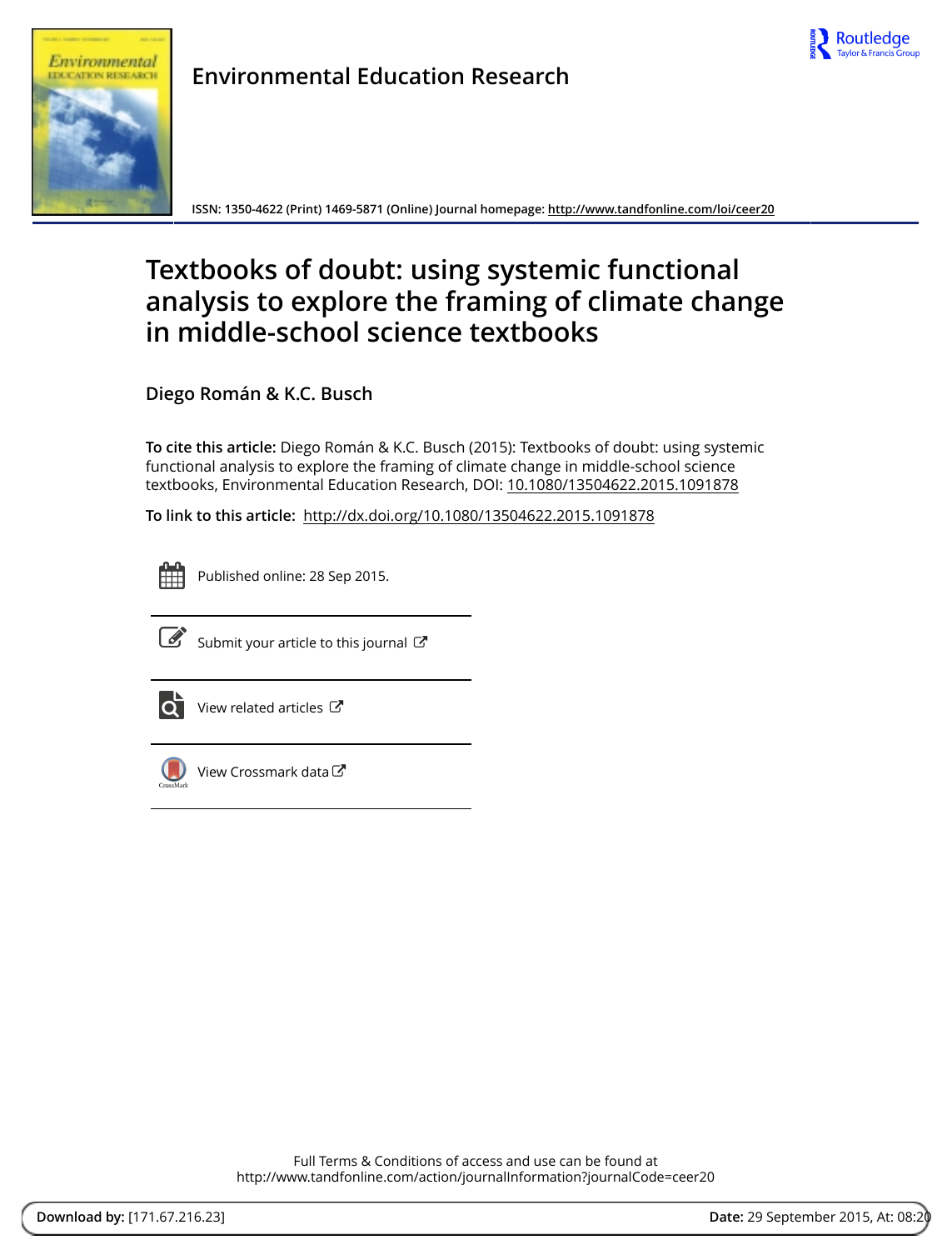



**Environmental Education Research**

**ISSN: 1350-4622 (Print) 1469-5871 (Online) Journal homepage:<http://www.tandfonline.com/loi/ceer20>**

# **Textbooks of doubt: using systemic functional analysis to explore the framing of climate change in middle-school science textbooks**

**Diego Román & K.C. Busch**

**To cite this article:** Diego Román & K.C. Busch (2015): Textbooks of doubt: using systemic functional analysis to explore the framing of climate change in middle-school science textbooks, Environmental Education Research, DOI: [10.1080/13504622.2015.1091878](http://www.tandfonline.com/action/showCitFormats?doi=10.1080/13504622.2015.1091878)

**To link to this article:** <http://dx.doi.org/10.1080/13504622.2015.1091878>



Published online: 28 Sep 2015.



[Submit your article to this journal](http://www.tandfonline.com/action/authorSubmission?journalCode=ceer20&page=instructions)  $\mathbb{C}$ 



[View related articles](http://www.tandfonline.com/doi/mlt/10.1080/13504622.2015.1091878)  $\mathbb{Z}$ 



[View Crossmark data](http://crossmark.crossref.org/dialog/?doi=10.1080/13504622.2015.1091878&domain=pdf&date_stamp=2015-09-28)

Full Terms & Conditions of access and use can be found at <http://www.tandfonline.com/action/journalInformation?journalCode=ceer20>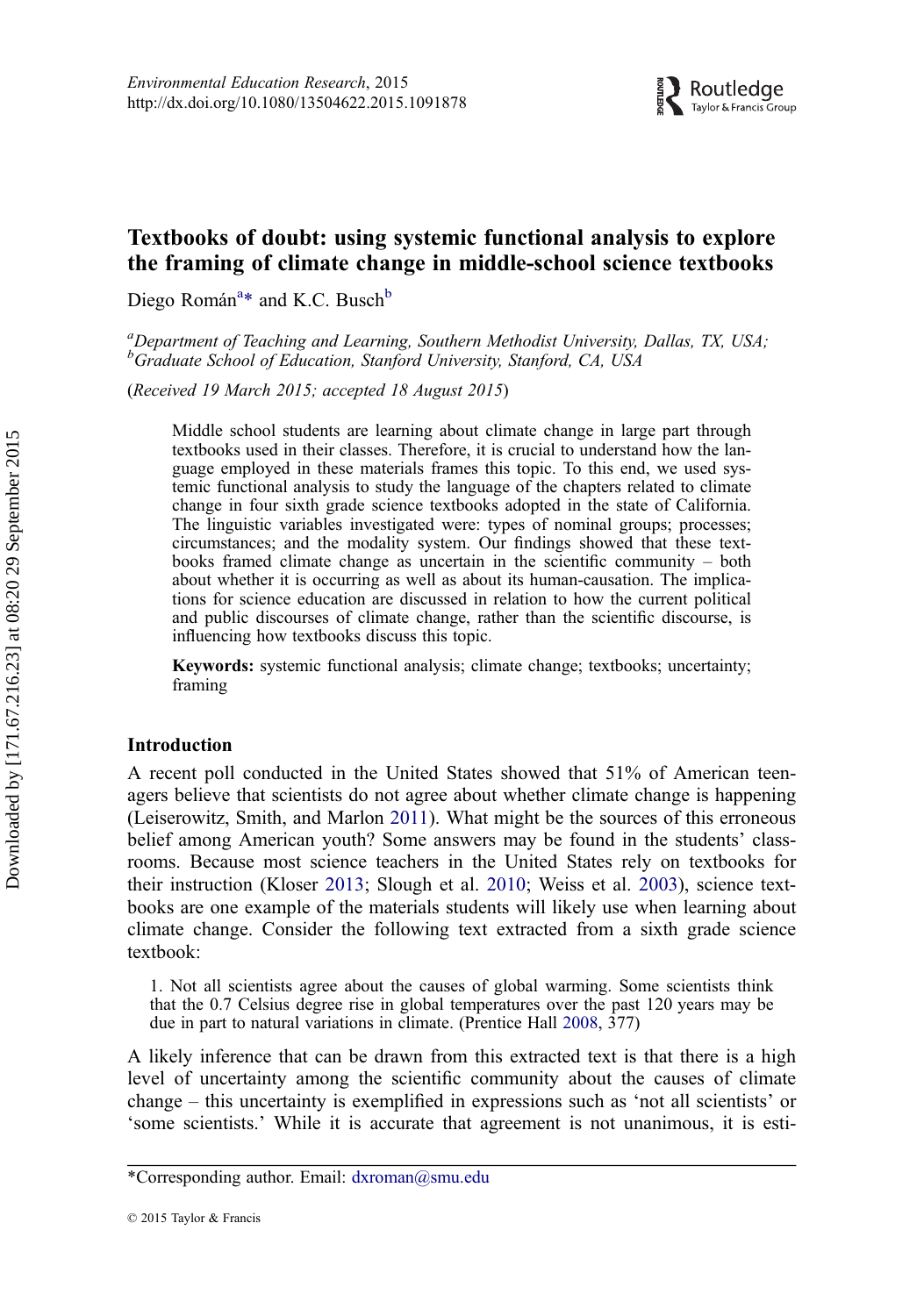# Textbooks of doubt: using systemic functional analysis to explore the framing of climate change in middle-school science textbooks

Diego Román<sup>a</sup>\* and K.C. Busch<sup>b</sup>

<sup>a</sup>Department of Teaching and Learning, Southern Methodist University, Dallas, TX, USA; <sup>b</sup>Graduate School of Education, Stanford University, Stanford, CA, USA

(Received 19 March 2015; accepted 18 August 2015)

Middle school students are learning about climate change in large part through textbooks used in their classes. Therefore, it is crucial to understand how the language employed in these materials frames this topic. To this end, we used systemic functional analysis to study the language of the chapters related to climate change in four sixth grade science textbooks adopted in the state of California. The linguistic variables investigated were: types of nominal groups; processes; circumstances; and the modality system. Our findings showed that these textbooks framed climate change as uncertain in the scientific community – both about whether it is occurring as well as about its human-causation. The implications for science education are discussed in relation to how the current political and public discourses of climate change, rather than the scientific discourse, is influencing how textbooks discuss this topic.

Keywords: systemic functional analysis; climate change; textbooks; uncertainty; framing

# Introduction

A recent poll conducted in the United States showed that 51% of American teenagers believe that scientists do not agree about whether climate change is happening (Leiserowitz, Smith, and Marlon [2011\)](#page-21-0). What might be the sources of this erroneous belief among American youth? Some answers may be found in the students' classrooms. Because most science teachers in the United States rely on textbooks for their instruction (Kloser [2013;](#page-21-0) Slough et al. [2010;](#page-22-0) Weiss et al. [2003](#page-23-0)), science textbooks are one example of the materials students will likely use when learning about climate change. Consider the following text extracted from a sixth grade science textbook:

1. Not all scientists agree about the causes of global warming. Some scientists think that the 0.7 Celsius degree rise in global temperatures over the past 120 years may be due in part to natural variations in climate. (Prentice Hall [2008](#page-22-0), 377)

A likely inference that can be drawn from this extracted text is that there is a high level of uncertainty among the scientific community about the causes of climate change – this uncertainty is exemplified in expressions such as 'not all scientists' or 'some scientists.' While it is accurate that agreement is not unanimous, it is esti-

<sup>\*</sup>Corresponding author. Email: [dxroman@smu.edu](mailto:dxroman@smu.edu)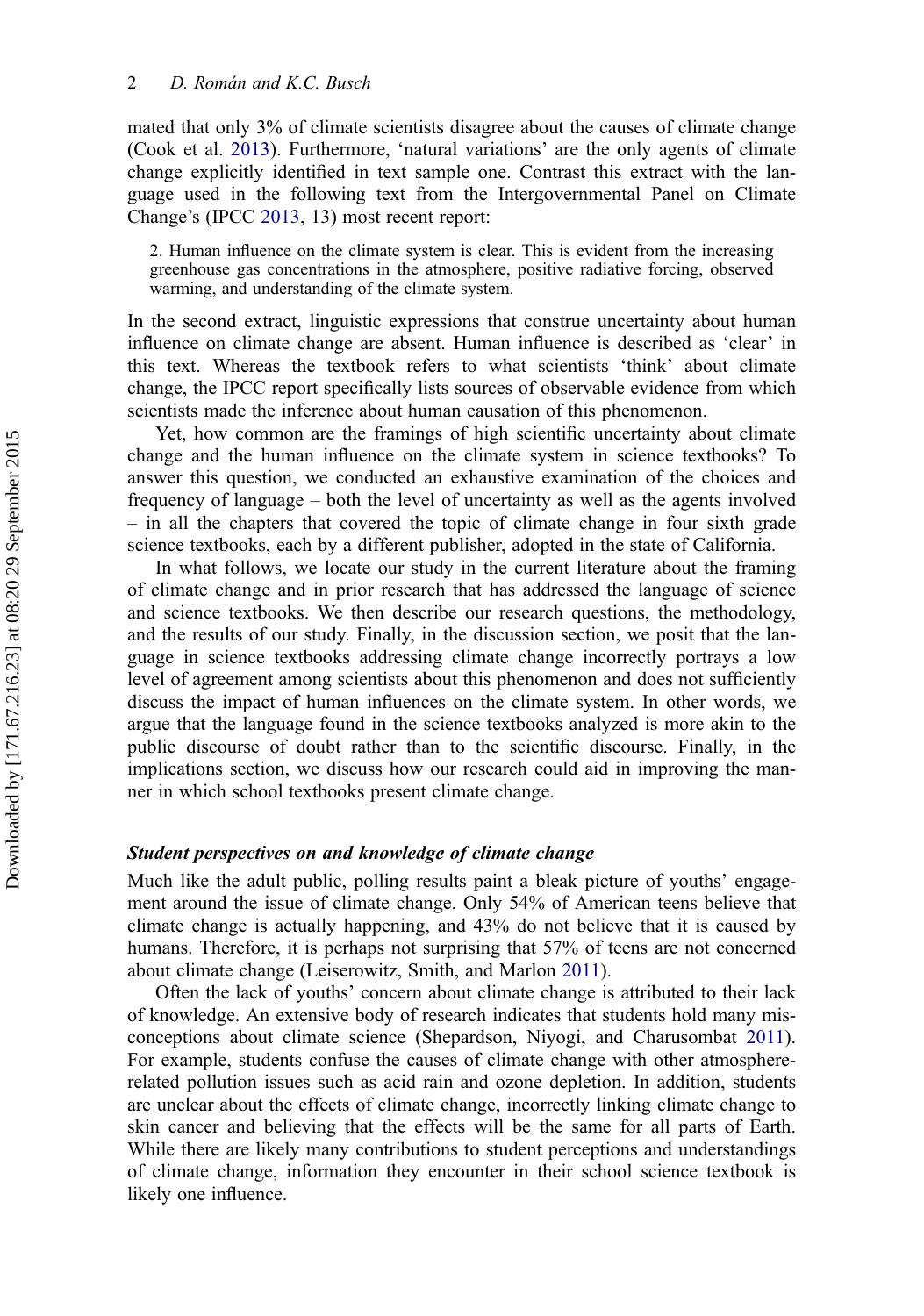mated that only 3% of climate scientists disagree about the causes of climate change (Cook et al. [2013](#page-20-0)). Furthermore, 'natural variations' are the only agents of climate change explicitly identified in text sample one. Contrast this extract with the language used in the following text from the Intergovernmental Panel on Climate Change's (IPCC [2013](#page-21-0), 13) most recent report:

2. Human influence on the climate system is clear. This is evident from the increasing greenhouse gas concentrations in the atmosphere, positive radiative forcing, observed warming, and understanding of the climate system.

In the second extract, linguistic expressions that construe uncertainty about human influence on climate change are absent. Human influence is described as 'clear' in this text. Whereas the textbook refers to what scientists 'think' about climate change, the IPCC report specifically lists sources of observable evidence from which scientists made the inference about human causation of this phenomenon.

Yet, how common are the framings of high scientific uncertainty about climate change and the human influence on the climate system in science textbooks? To answer this question, we conducted an exhaustive examination of the choices and frequency of language – both the level of uncertainty as well as the agents involved – in all the chapters that covered the topic of climate change in four sixth grade science textbooks, each by a different publisher, adopted in the state of California.

In what follows, we locate our study in the current literature about the framing of climate change and in prior research that has addressed the language of science and science textbooks. We then describe our research questions, the methodology, and the results of our study. Finally, in the discussion section, we posit that the language in science textbooks addressing climate change incorrectly portrays a low level of agreement among scientists about this phenomenon and does not sufficiently discuss the impact of human influences on the climate system. In other words, we argue that the language found in the science textbooks analyzed is more akin to the public discourse of doubt rather than to the scientific discourse. Finally, in the implications section, we discuss how our research could aid in improving the manner in which school textbooks present climate change.

# Student perspectives on and knowledge of climate change

Much like the adult public, polling results paint a bleak picture of youths' engagement around the issue of climate change. Only 54% of American teens believe that climate change is actually happening, and 43% do not believe that it is caused by humans. Therefore, it is perhaps not surprising that 57% of teens are not concerned about climate change (Leiserowitz, Smith, and Marlon [2011\)](#page-21-0).

Often the lack of youths' concern about climate change is attributed to their lack of knowledge. An extensive body of research indicates that students hold many misconceptions about climate science (Shepardson, Niyogi, and Charusombat [2011](#page-22-0)). For example, students confuse the causes of climate change with other atmosphererelated pollution issues such as acid rain and ozone depletion. In addition, students are unclear about the effects of climate change, incorrectly linking climate change to skin cancer and believing that the effects will be the same for all parts of Earth. While there are likely many contributions to student perceptions and understandings of climate change, information they encounter in their school science textbook is likely one influence.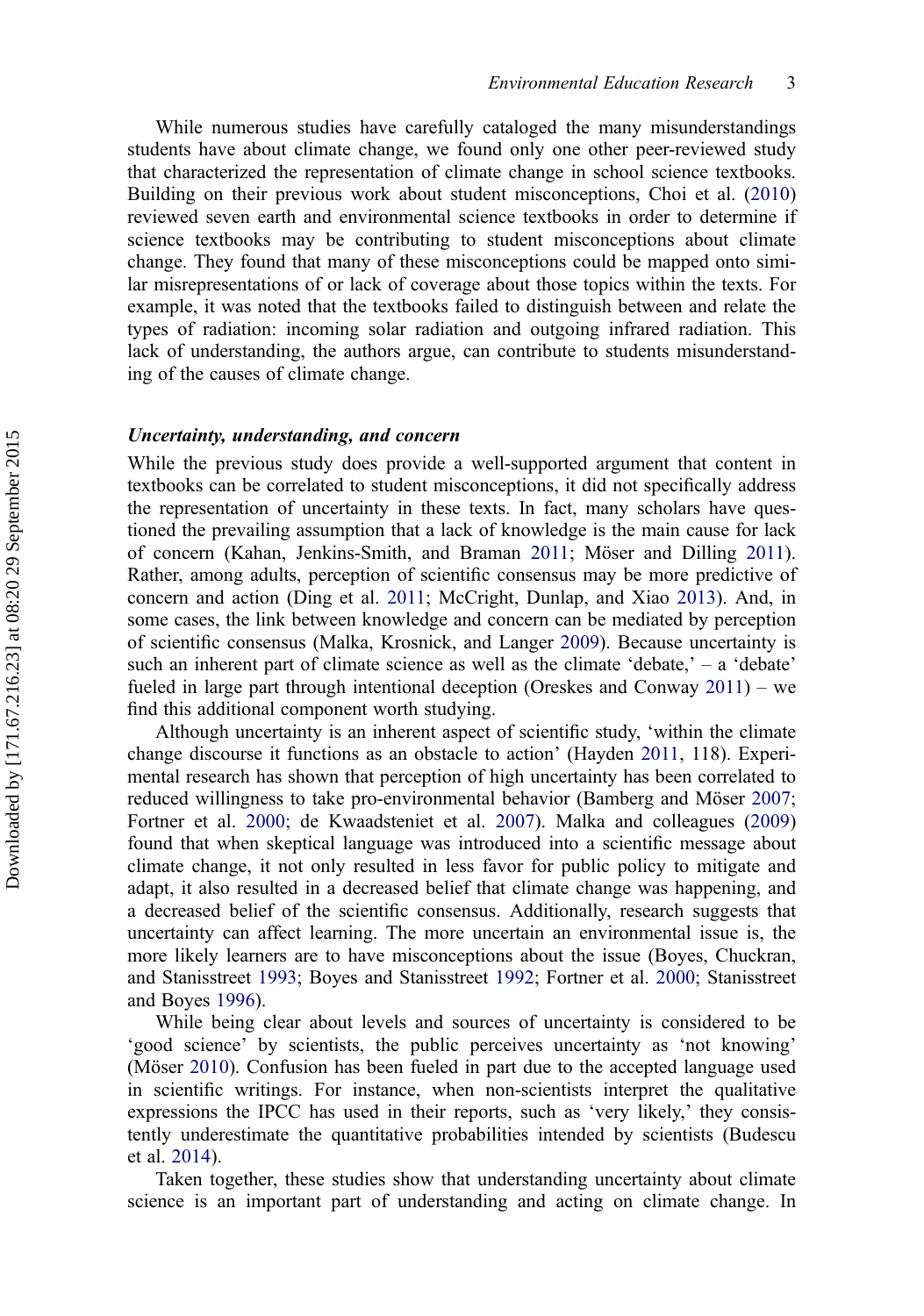While numerous studies have carefully cataloged the many misunderstandings students have about climate change, we found only one other peer-reviewed study that characterized the representation of climate change in school science textbooks. Building on their previous work about student misconceptions, Choi et al. ([2010\)](#page-20-0) reviewed seven earth and environmental science textbooks in order to determine if science textbooks may be contributing to student misconceptions about climate change. They found that many of these misconceptions could be mapped onto similar misrepresentations of or lack of coverage about those topics within the texts. For example, it was noted that the textbooks failed to distinguish between and relate the types of radiation: incoming solar radiation and outgoing infrared radiation. This lack of understanding, the authors argue, can contribute to students misunderstanding of the causes of climate change.

#### Uncertainty, understanding, and concern

While the previous study does provide a well-supported argument that content in textbooks can be correlated to student misconceptions, it did not specifically address the representation of uncertainty in these texts. In fact, many scholars have questioned the prevailing assumption that a lack of knowledge is the main cause for lack of concern (Kahan, Jenkins-Smith, and Braman [2011](#page-21-0); Möser and Dilling [2011](#page-22-0)). Rather, among adults, perception of scientific consensus may be more predictive of concern and action (Ding et al. [2011](#page-20-0); McCright, Dunlap, and Xiao [2013\)](#page-22-0). And, in some cases, the link between knowledge and concern can be mediated by perception of scientific consensus (Malka, Krosnick, and Langer [2009](#page-21-0)). Because uncertainty is such an inherent part of climate science as well as the climate 'debate,'  $-$  a 'debate' fueled in large part through intentional deception (Oreskes and Conway [2011](#page-22-0)) – we find this additional component worth studying.

Although uncertainty is an inherent aspect of scientific study, 'within the climate change discourse it functions as an obstacle to action' (Hayden [2011,](#page-21-0) 118). Experimental research has shown that perception of high uncertainty has been correlated to reduced willingness to take pro-environmental behavior (Bamberg and Möser [2007](#page-19-0); Fortner et al. [2000](#page-20-0); de Kwaadsteniet et al. [2007\)](#page-21-0). Malka and colleagues ([2009\)](#page-21-0) found that when skeptical language was introduced into a scientific message about climate change, it not only resulted in less favor for public policy to mitigate and adapt, it also resulted in a decreased belief that climate change was happening, and a decreased belief of the scientific consensus. Additionally, research suggests that uncertainty can affect learning. The more uncertain an environmental issue is, the more likely learners are to have misconceptions about the issue (Boyes, Chuckran, and Stanisstreet [1993;](#page-19-0) Boyes and Stanisstreet [1992](#page-19-0); Fortner et al. [2000](#page-20-0); Stanisstreet and Boyes [1996](#page-23-0)).

While being clear about levels and sources of uncertainty is considered to be 'good science' by scientists, the public perceives uncertainty as 'not knowing' (Möser [2010](#page-22-0)). Confusion has been fueled in part due to the accepted language used in scientific writings. For instance, when non-scientists interpret the qualitative expressions the IPCC has used in their reports, such as 'very likely,' they consistently underestimate the quantitative probabilities intended by scientists (Budescu et al. [2014\)](#page-20-0).

Taken together, these studies show that understanding uncertainty about climate science is an important part of understanding and acting on climate change. In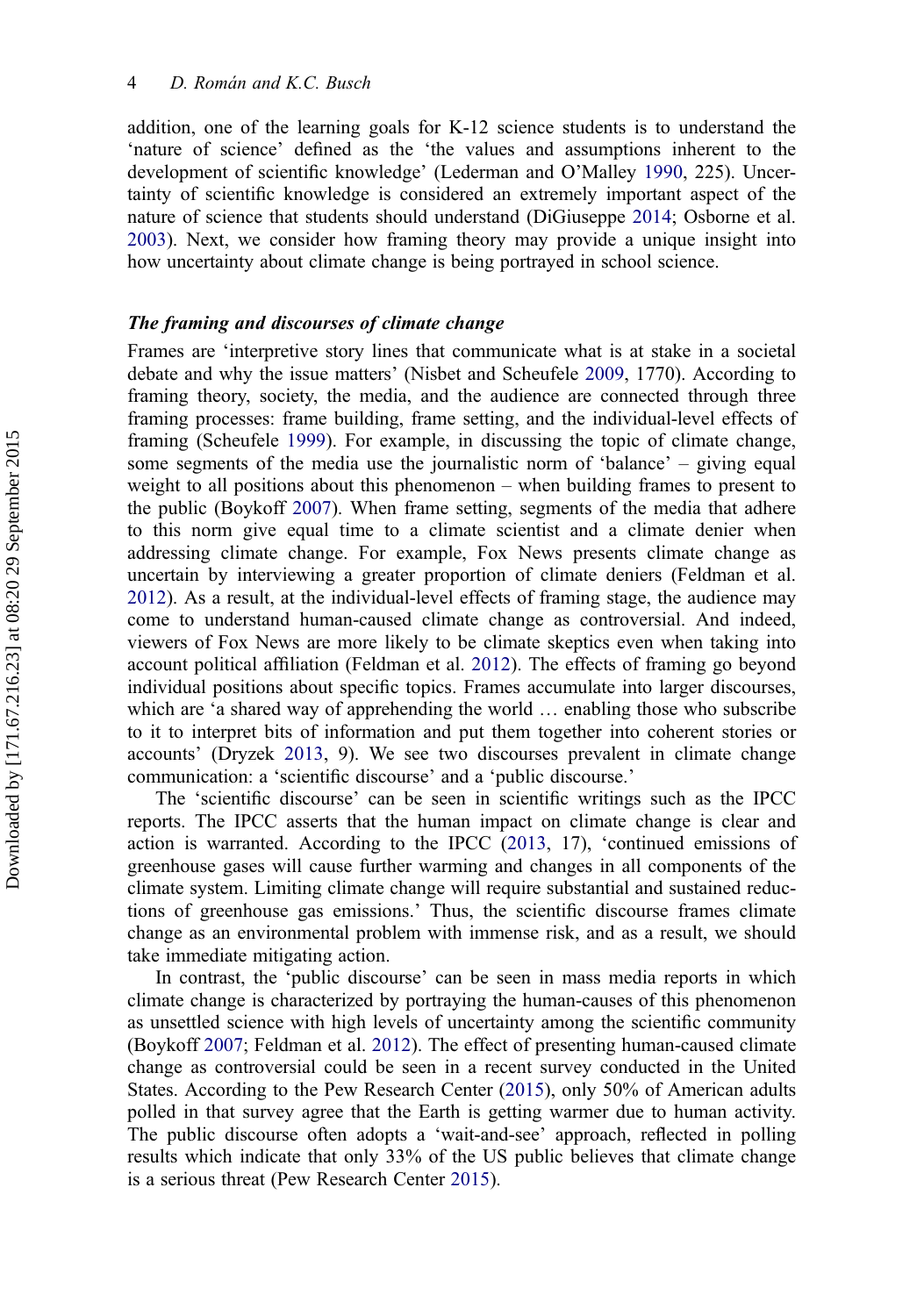addition, one of the learning goals for K-12 science students is to understand the 'nature of science' defined as the 'the values and assumptions inherent to the development of scientific knowledge' (Lederman and O'Malley [1990,](#page-21-0) 225). Uncertainty of scientific knowledge is considered an extremely important aspect of the nature of science that students should understand (DiGiuseppe [2014;](#page-20-0) Osborne et al. [2003\)](#page-22-0). Next, we consider how framing theory may provide a unique insight into how uncertainty about climate change is being portrayed in school science.

#### The framing and discourses of climate change

Frames are 'interpretive story lines that communicate what is at stake in a societal debate and why the issue matters' (Nisbet and Scheufele [2009](#page-22-0), 1770). According to framing theory, society, the media, and the audience are connected through three framing processes: frame building, frame setting, and the individual-level effects of framing (Scheufele [1999](#page-22-0)). For example, in discussing the topic of climate change, some segments of the media use the journalistic norm of 'balance' – giving equal weight to all positions about this phenomenon – when building frames to present to the public (Boykoff [2007](#page-19-0)). When frame setting, segments of the media that adhere to this norm give equal time to a climate scientist and a climate denier when addressing climate change. For example, Fox News presents climate change as uncertain by interviewing a greater proportion of climate deniers (Feldman et al. [2012\)](#page-20-0). As a result, at the individual-level effects of framing stage, the audience may come to understand human-caused climate change as controversial. And indeed, viewers of Fox News are more likely to be climate skeptics even when taking into account political affiliation (Feldman et al. [2012\)](#page-20-0). The effects of framing go beyond individual positions about specific topics. Frames accumulate into larger discourses, which are 'a shared way of apprehending the world … enabling those who subscribe to it to interpret bits of information and put them together into coherent stories or accounts' (Dryzek [2013,](#page-20-0) 9). We see two discourses prevalent in climate change communication: a 'scientific discourse' and a 'public discourse.'

The 'scientific discourse' can be seen in scientific writings such as the IPCC reports. The IPCC asserts that the human impact on climate change is clear and action is warranted. According to the IPCC ([2013,](#page-21-0) 17), 'continued emissions of greenhouse gases will cause further warming and changes in all components of the climate system. Limiting climate change will require substantial and sustained reductions of greenhouse gas emissions.' Thus, the scientific discourse frames climate change as an environmental problem with immense risk, and as a result, we should take immediate mitigating action.

In contrast, the 'public discourse' can be seen in mass media reports in which climate change is characterized by portraying the human-causes of this phenomenon as unsettled science with high levels of uncertainty among the scientific community (Boykoff [2007;](#page-19-0) Feldman et al. [2012\)](#page-20-0). The effect of presenting human-caused climate change as controversial could be seen in a recent survey conducted in the United States. According to the Pew Research Center ([2015\)](#page-22-0), only 50% of American adults polled in that survey agree that the Earth is getting warmer due to human activity. The public discourse often adopts a 'wait-and-see' approach, reflected in polling results which indicate that only 33% of the US public believes that climate change is a serious threat (Pew Research Center [2015\)](#page-22-0).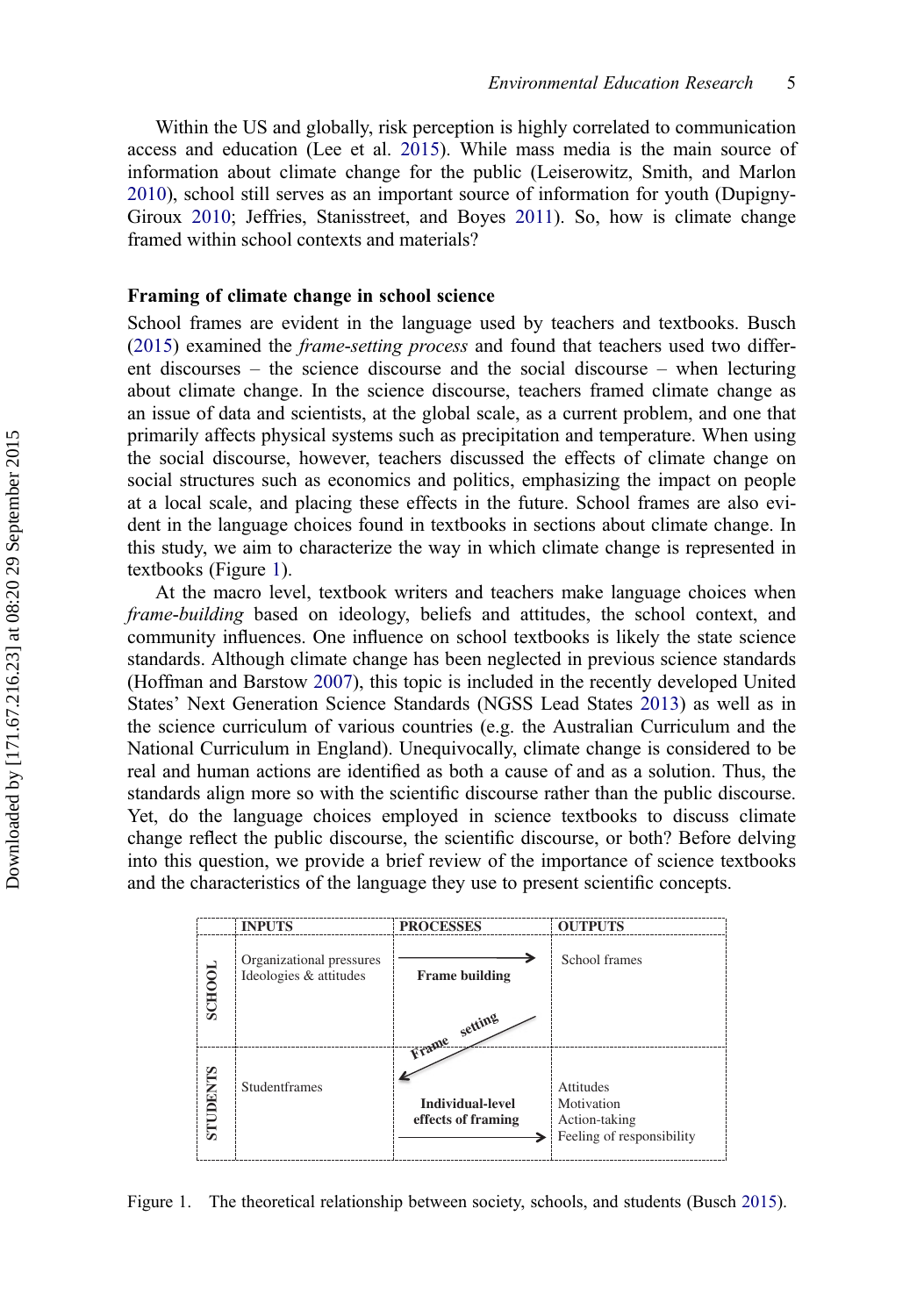Within the US and globally, risk perception is highly correlated to communication access and education (Lee et al. [2015\)](#page-21-0). While mass media is the main source of information about climate change for the public (Leiserowitz, Smith, and Marlon [2010\)](#page-21-0), school still serves as an important source of information for youth (Dupigny-Giroux [2010](#page-20-0); Jeffries, Stanisstreet, and Boyes [2011\)](#page-21-0). So, how is climate change framed within school contexts and materials?

#### Framing of climate change in school science

School frames are evident in the language used by teachers and textbooks. Busch [\(2015](#page-20-0)) examined the frame-setting process and found that teachers used two different discourses – the science discourse and the social discourse – when lecturing about climate change. In the science discourse, teachers framed climate change as an issue of data and scientists, at the global scale, as a current problem, and one that primarily affects physical systems such as precipitation and temperature. When using the social discourse, however, teachers discussed the effects of climate change on social structures such as economics and politics, emphasizing the impact on people at a local scale, and placing these effects in the future. School frames are also evident in the language choices found in textbooks in sections about climate change. In this study, we aim to characterize the way in which climate change is represented in textbooks (Figure 1).

At the macro level, textbook writers and teachers make language choices when frame-building based on ideology, beliefs and attitudes, the school context, and community influences. One influence on school textbooks is likely the state science standards. Although climate change has been neglected in previous science standards (Hoffman and Barstow [2007](#page-21-0)), this topic is included in the recently developed United States' Next Generation Science Standards (NGSS Lead States [2013\)](#page-22-0) as well as in the science curriculum of various countries (e.g. the Australian Curriculum and the National Curriculum in England). Unequivocally, climate change is considered to be real and human actions are identified as both a cause of and as a solution. Thus, the standards align more so with the scientific discourse rather than the public discourse. Yet, do the language choices employed in science textbooks to discuss climate change reflect the public discourse, the scientific discourse, or both? Before delving into this question, we provide a brief review of the importance of science textbooks and the characteristics of the language they use to present scientific concepts.

|                 | <b>INPUTS</b>                                      |                                                         | OUTPUTS                                                               |
|-----------------|----------------------------------------------------|---------------------------------------------------------|-----------------------------------------------------------------------|
| <b>SCHOOI</b>   | Organizational pressures<br>Ideologies & attitudes | <b>Frame building</b>                                   | School frames                                                         |
| <b>STUDENTS</b> | Studentframes                                      | Frame setting<br>Individual-level<br>effects of framing | Attitudes<br>Motivation<br>Action-taking<br>Feeling of responsibility |

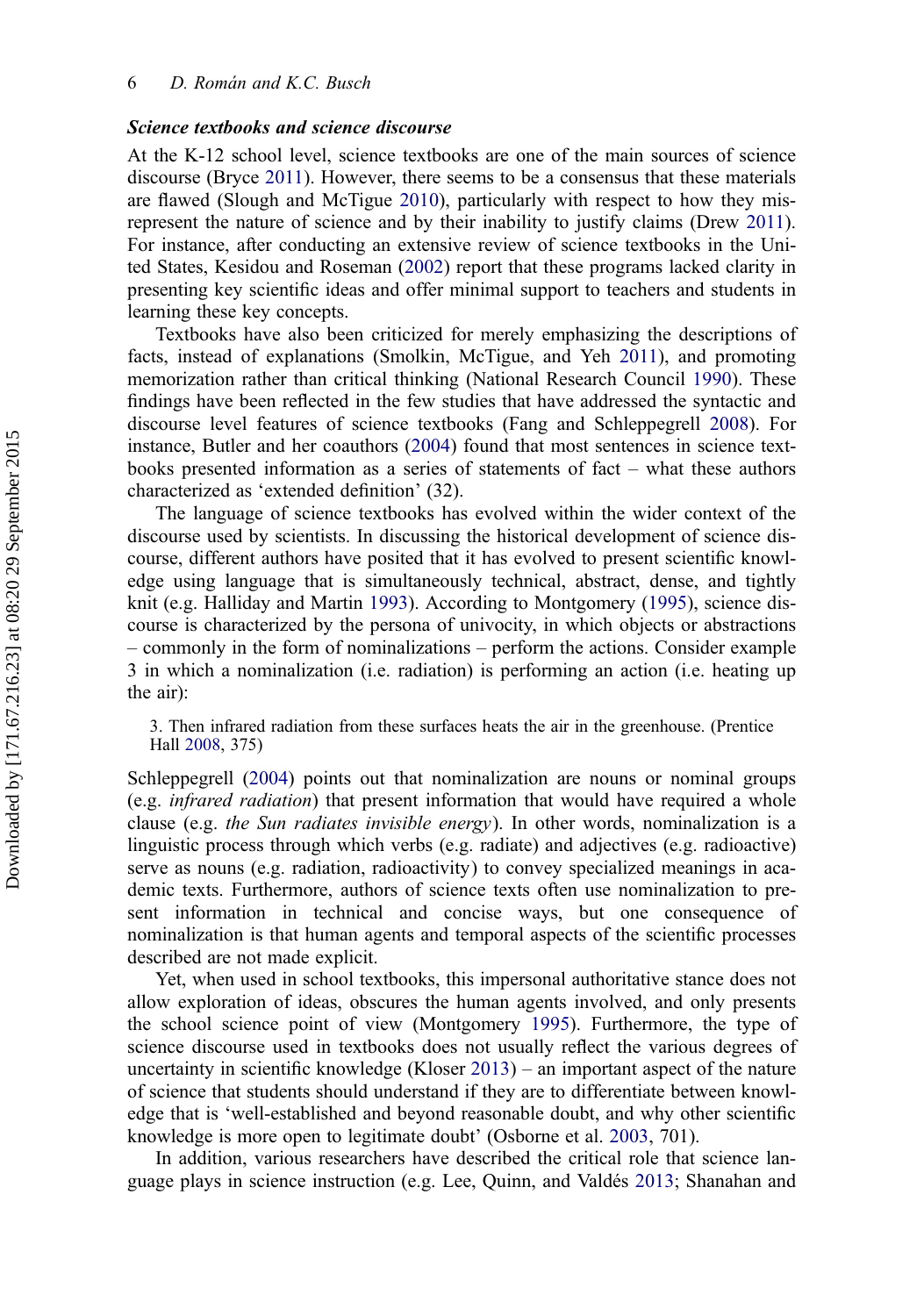#### Science textbooks and science discourse

At the K-12 school level, science textbooks are one of the main sources of science discourse (Bryce [2011](#page-19-0)). However, there seems to be a consensus that these materials are flawed (Slough and McTigue [2010](#page-22-0)), particularly with respect to how they misrepresent the nature of science and by their inability to justify claims (Drew [2011](#page-20-0)). For instance, after conducting an extensive review of science textbooks in the United States, Kesidou and Roseman [\(2002\)](#page-21-0) report that these programs lacked clarity in presenting key scientific ideas and offer minimal support to teachers and students in learning these key concepts.

Textbooks have also been criticized for merely emphasizing the descriptions of facts, instead of explanations (Smolkin, McTigue, and Yeh [2011](#page-22-0)), and promoting memorization rather than critical thinking (National Research Council [1990\)](#page-22-0). These findings have been reflected in the few studies that have addressed the syntactic and discourse level features of science textbooks (Fang and Schleppegrell [2008\)](#page-20-0). For instance, Butler and her coauthors ([2004\)](#page-20-0) found that most sentences in science textbooks presented information as a series of statements of fact – what these authors characterized as 'extended definition' (32).

The language of science textbooks has evolved within the wider context of the discourse used by scientists. In discussing the historical development of science discourse, different authors have posited that it has evolved to present scientific knowledge using language that is simultaneously technical, abstract, dense, and tightly knit (e.g. Halliday and Martin [1993](#page-21-0)). According to Montgomery [\(1995](#page-22-0)), science discourse is characterized by the persona of univocity, in which objects or abstractions – commonly in the form of nominalizations – perform the actions. Consider example 3 in which a nominalization (i.e. radiation) is performing an action (i.e. heating up the air):

3. Then infrared radiation from these surfaces heats the air in the greenhouse. (Prentice Hall [2008,](#page-22-0) 375)

Schleppegrell [\(2004\)](#page-22-0) points out that nominalization are nouns or nominal groups (e.g. infrared radiation) that present information that would have required a whole clause (e.g. the Sun radiates invisible energy). In other words, nominalization is a linguistic process through which verbs (e.g. radiate) and adjectives (e.g. radioactive) serve as nouns (e.g. radiation, radioactivity) to convey specialized meanings in academic texts. Furthermore, authors of science texts often use nominalization to present information in technical and concise ways, but one consequence of nominalization is that human agents and temporal aspects of the scientific processes described are not made explicit.

Yet, when used in school textbooks, this impersonal authoritative stance does not allow exploration of ideas, obscures the human agents involved, and only presents the school science point of view (Montgomery [1995](#page-22-0)). Furthermore, the type of science discourse used in textbooks does not usually reflect the various degrees of uncertainty in scientific knowledge (Kloser [2013](#page-21-0)) – an important aspect of the nature of science that students should understand if they are to differentiate between knowledge that is 'well-established and beyond reasonable doubt, and why other scientific knowledge is more open to legitimate doubt' (Osborne et al. [2003,](#page-22-0) 701).

In addition, various researchers have described the critical role that science language plays in science instruction (e.g. Lee, Quinn, and Valdés [2013](#page-21-0); Shanahan and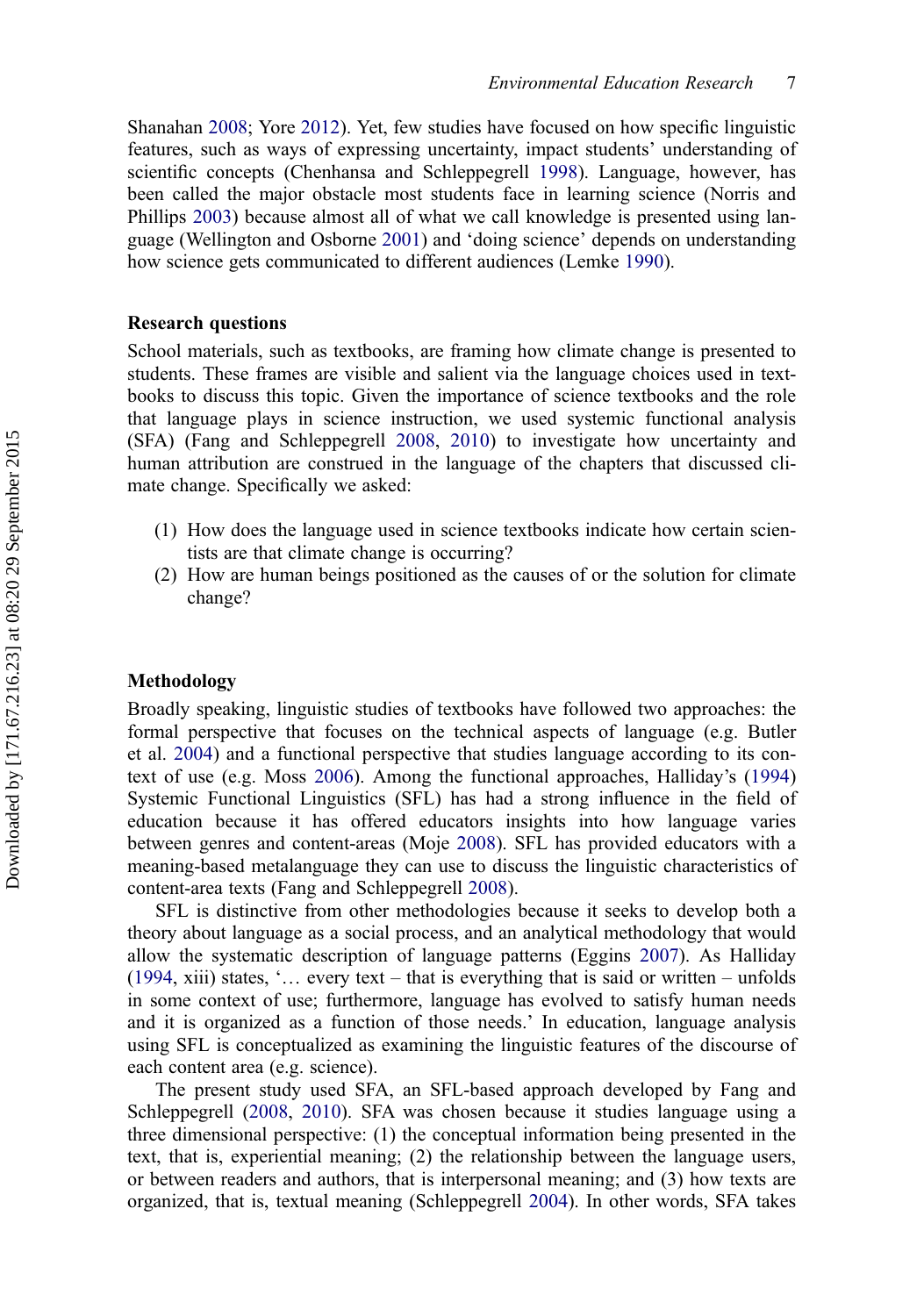Shanahan [2008](#page-22-0); Yore [2012\)](#page-23-0). Yet, few studies have focused on how specific linguistic features, such as ways of expressing uncertainty, impact students' understanding of scientific concepts (Chenhansa and Schleppegrell [1998\)](#page-20-0). Language, however, has been called the major obstacle most students face in learning science (Norris and Phillips [2003\)](#page-22-0) because almost all of what we call knowledge is presented using language (Wellington and Osborne [2001\)](#page-23-0) and 'doing science' depends on understanding how science gets communicated to different audiences (Lemke [1990\)](#page-21-0).

#### Research questions

School materials, such as textbooks, are framing how climate change is presented to students. These frames are visible and salient via the language choices used in textbooks to discuss this topic. Given the importance of science textbooks and the role that language plays in science instruction, we used systemic functional analysis (SFA) (Fang and Schleppegrell [2008](#page-20-0), [2010\)](#page-20-0) to investigate how uncertainty and human attribution are construed in the language of the chapters that discussed climate change. Specifically we asked:

- (1) How does the language used in science textbooks indicate how certain scientists are that climate change is occurring?
- (2) How are human beings positioned as the causes of or the solution for climate change?

#### Methodology

Broadly speaking, linguistic studies of textbooks have followed two approaches: the formal perspective that focuses on the technical aspects of language (e.g. Butler et al. [2004\)](#page-20-0) and a functional perspective that studies language according to its context of use (e.g. Moss [2006\)](#page-22-0). Among the functional approaches, Halliday's ([1994\)](#page-21-0) Systemic Functional Linguistics (SFL) has had a strong influence in the field of education because it has offered educators insights into how language varies between genres and content-areas (Moje [2008\)](#page-22-0). SFL has provided educators with a meaning-based metalanguage they can use to discuss the linguistic characteristics of content-area texts (Fang and Schleppegrell [2008](#page-20-0)).

SFL is distinctive from other methodologies because it seeks to develop both a theory about language as a social process, and an analytical methodology that would allow the systematic description of language patterns (Eggins [2007\)](#page-20-0). As Halliday [\(1994](#page-21-0), xiii) states, '… every text – that is everything that is said or written – unfolds in some context of use; furthermore, language has evolved to satisfy human needs and it is organized as a function of those needs.' In education, language analysis using SFL is conceptualized as examining the linguistic features of the discourse of each content area (e.g. science).

The present study used SFA, an SFL-based approach developed by Fang and Schleppegrell ([2008,](#page-20-0) [2010](#page-20-0)). SFA was chosen because it studies language using a three dimensional perspective: (1) the conceptual information being presented in the text, that is, experiential meaning; (2) the relationship between the language users, or between readers and authors, that is interpersonal meaning; and (3) how texts are organized, that is, textual meaning (Schleppegrell [2004](#page-22-0)). In other words, SFA takes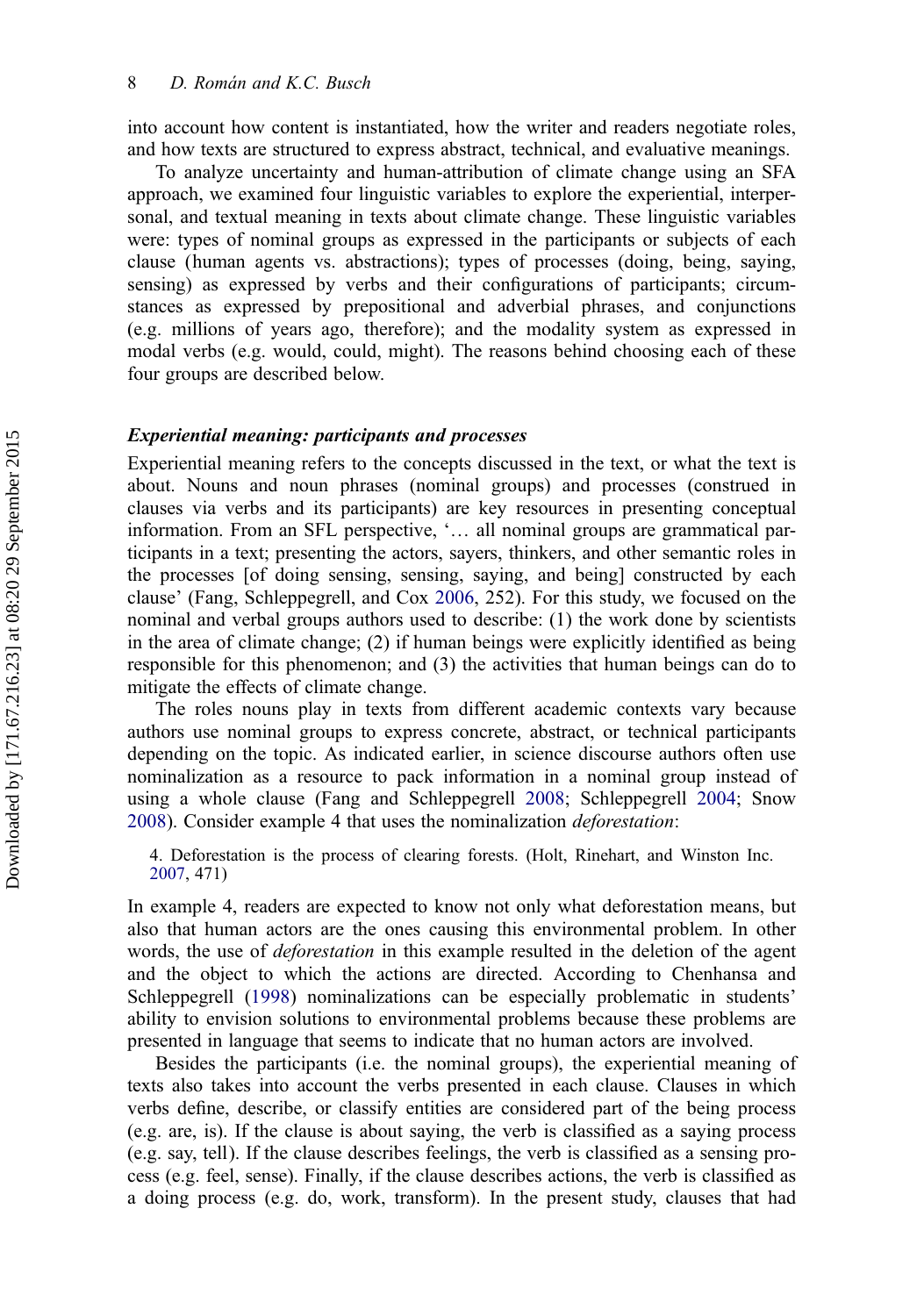into account how content is instantiated, how the writer and readers negotiate roles, and how texts are structured to express abstract, technical, and evaluative meanings.

To analyze uncertainty and human-attribution of climate change using an SFA approach, we examined four linguistic variables to explore the experiential, interpersonal, and textual meaning in texts about climate change. These linguistic variables were: types of nominal groups as expressed in the participants or subjects of each clause (human agents vs. abstractions); types of processes (doing, being, saying, sensing) as expressed by verbs and their configurations of participants; circumstances as expressed by prepositional and adverbial phrases, and conjunctions (e.g. millions of years ago, therefore); and the modality system as expressed in modal verbs (e.g. would, could, might). The reasons behind choosing each of these four groups are described below.

#### Experiential meaning: participants and processes

Experiential meaning refers to the concepts discussed in the text, or what the text is about. Nouns and noun phrases (nominal groups) and processes (construed in clauses via verbs and its participants) are key resources in presenting conceptual information. From an SFL perspective, '… all nominal groups are grammatical participants in a text; presenting the actors, sayers, thinkers, and other semantic roles in the processes [of doing sensing, sensing, saying, and being] constructed by each clause' (Fang, Schleppegrell, and Cox [2006](#page-20-0), 252). For this study, we focused on the nominal and verbal groups authors used to describe: (1) the work done by scientists in the area of climate change; (2) if human beings were explicitly identified as being responsible for this phenomenon; and (3) the activities that human beings can do to mitigate the effects of climate change.

The roles nouns play in texts from different academic contexts vary because authors use nominal groups to express concrete, abstract, or technical participants depending on the topic. As indicated earlier, in science discourse authors often use nominalization as a resource to pack information in a nominal group instead of using a whole clause (Fang and Schleppegrell [2008;](#page-20-0) Schleppegrell [2004](#page-22-0); Snow [2008\)](#page-23-0). Consider example 4 that uses the nominalization *deforestation*:

4. Deforestation is the process of clearing forests. (Holt, Rinehart, and Winston Inc. [2007,](#page-21-0) 471)

In example 4, readers are expected to know not only what deforestation means, but also that human actors are the ones causing this environmental problem. In other words, the use of *deforestation* in this example resulted in the deletion of the agent and the object to which the actions are directed. According to Chenhansa and Schleppegrell [\(1998\)](#page-20-0) nominalizations can be especially problematic in students' ability to envision solutions to environmental problems because these problems are presented in language that seems to indicate that no human actors are involved.

Besides the participants (i.e. the nominal groups), the experiential meaning of texts also takes into account the verbs presented in each clause. Clauses in which verbs define, describe, or classify entities are considered part of the being process (e.g. are, is). If the clause is about saying, the verb is classified as a saying process (e.g. say, tell). If the clause describes feelings, the verb is classified as a sensing process (e.g. feel, sense). Finally, if the clause describes actions, the verb is classified as a doing process (e.g. do, work, transform). In the present study, clauses that had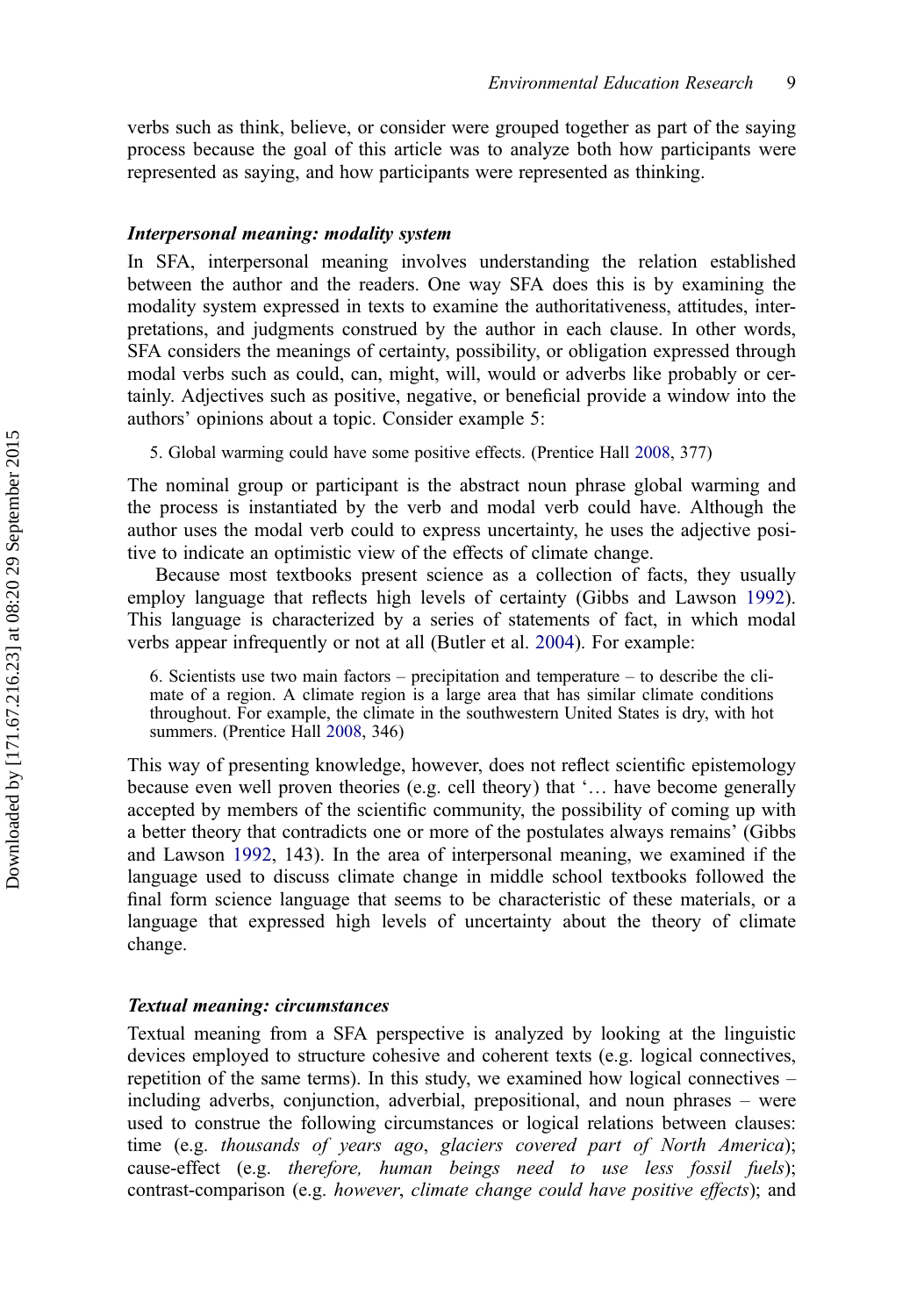verbs such as think, believe, or consider were grouped together as part of the saying process because the goal of this article was to analyze both how participants were represented as saying, and how participants were represented as thinking.

#### Interpersonal meaning: modality system

In SFA, interpersonal meaning involves understanding the relation established between the author and the readers. One way SFA does this is by examining the modality system expressed in texts to examine the authoritativeness, attitudes, interpretations, and judgments construed by the author in each clause. In other words, SFA considers the meanings of certainty, possibility, or obligation expressed through modal verbs such as could, can, might, will, would or adverbs like probably or certainly. Adjectives such as positive, negative, or beneficial provide a window into the authors' opinions about a topic. Consider example 5:

5. Global warming could have some positive effects. (Prentice Hall [2008,](#page-22-0) 377)

The nominal group or participant is the abstract noun phrase global warming and the process is instantiated by the verb and modal verb could have. Although the author uses the modal verb could to express uncertainty, he uses the adjective positive to indicate an optimistic view of the effects of climate change.

Because most textbooks present science as a collection of facts, they usually employ language that reflects high levels of certainty (Gibbs and Lawson [1992](#page-21-0)). This language is characterized by a series of statements of fact, in which modal verbs appear infrequently or not at all (Butler et al. [2004\)](#page-20-0). For example:

6. Scientists use two main factors – precipitation and temperature – to describe the climate of a region. A climate region is a large area that has similar climate conditions throughout. For example, the climate in the southwestern United States is dry, with hot summers. (Prentice Hall [2008](#page-22-0), 346)

This way of presenting knowledge, however, does not reflect scientific epistemology because even well proven theories (e.g. cell theory) that '… have become generally accepted by members of the scientific community, the possibility of coming up with a better theory that contradicts one or more of the postulates always remains' (Gibbs and Lawson [1992](#page-21-0), 143). In the area of interpersonal meaning, we examined if the language used to discuss climate change in middle school textbooks followed the final form science language that seems to be characteristic of these materials, or a language that expressed high levels of uncertainty about the theory of climate change.

### Textual meaning: circumstances

Textual meaning from a SFA perspective is analyzed by looking at the linguistic devices employed to structure cohesive and coherent texts (e.g. logical connectives, repetition of the same terms). In this study, we examined how logical connectives – including adverbs, conjunction, adverbial, prepositional, and noun phrases – were used to construe the following circumstances or logical relations between clauses: time (e.g. thousands of years ago, glaciers covered part of North America); cause-effect (e.g. therefore, human beings need to use less fossil fuels); contrast-comparison (e.g. however, climate change could have positive effects); and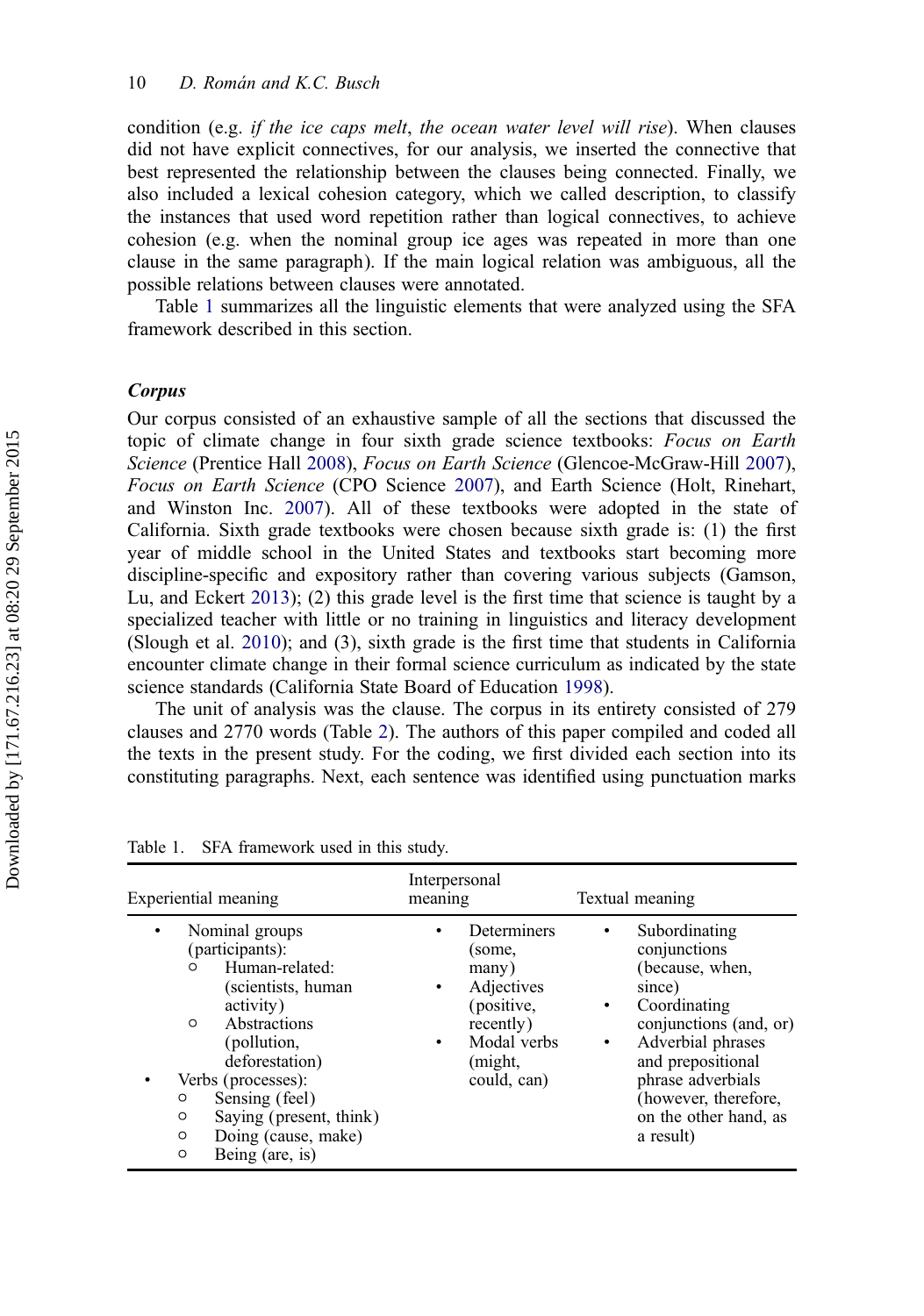condition (e.g. if the ice caps melt, the ocean water level will rise). When clauses did not have explicit connectives, for our analysis, we inserted the connective that best represented the relationship between the clauses being connected. Finally, we also included a lexical cohesion category, which we called description, to classify the instances that used word repetition rather than logical connectives, to achieve cohesion (e.g. when the nominal group ice ages was repeated in more than one clause in the same paragraph). If the main logical relation was ambiguous, all the possible relations between clauses were annotated.

Table 1 summarizes all the linguistic elements that were analyzed using the SFA framework described in this section.

#### Corpus

Our corpus consisted of an exhaustive sample of all the sections that discussed the topic of climate change in four sixth grade science textbooks: Focus on Earth Science (Prentice Hall [2008\)](#page-22-0), Focus on Earth Science (Glencoe-McGraw-Hill [2007](#page-21-0)), Focus on Earth Science (CPO Science [2007\)](#page-20-0), and Earth Science (Holt, Rinehart, and Winston Inc. [2007](#page-21-0)). All of these textbooks were adopted in the state of California. Sixth grade textbooks were chosen because sixth grade is: (1) the first year of middle school in the United States and textbooks start becoming more discipline-specific and expository rather than covering various subjects (Gamson, Lu, and Eckert [2013\)](#page-20-0); (2) this grade level is the first time that science is taught by a specialized teacher with little or no training in linguistics and literacy development (Slough et al. [2010](#page-22-0)); and (3), sixth grade is the first time that students in California encounter climate change in their formal science curriculum as indicated by the state science standards (California State Board of Education [1998](#page-20-0)).

The unit of analysis was the clause. The corpus in its entirety consisted of 279 clauses and 2770 words (Table [2](#page-11-0)). The authors of this paper compiled and coded all the texts in the present study. For the coding, we first divided each section into its constituting paragraphs. Next, each sentence was identified using punctuation marks

| Experiential meaning                                                                                                                                                                                                                                                                                        | Interpersonal<br>meaning                                                                                                                   | Textual meaning                                                                                                                                                                                                                                                  |  |
|-------------------------------------------------------------------------------------------------------------------------------------------------------------------------------------------------------------------------------------------------------------------------------------------------------------|--------------------------------------------------------------------------------------------------------------------------------------------|------------------------------------------------------------------------------------------------------------------------------------------------------------------------------------------------------------------------------------------------------------------|--|
| Nominal groups<br>(participants):<br>Human-related:<br>$\circ$<br>(scientists, human)<br>activity)<br>Abstractions<br>$\circ$<br>(pollution,<br>deforestation)<br>Verbs (processes):<br>Sensing (feel)<br>O<br>Saying (present, think)<br>O<br>Doing (cause, make)<br>$\circ$<br>Being (are, is)<br>$\circ$ | Determiners<br>(some,<br>many)<br>Adjectives<br>$\bullet$<br>(positive,<br>recently)<br>Modal verbs<br>$\bullet$<br>(might,<br>could, can) | Subordinating<br>٠<br>conjunctions<br>(because, when,<br>since)<br>Coordinating<br>$\bullet$<br>conjunctions (and, or)<br>Adverbial phrases<br>$\bullet$<br>and prepositional<br>phrase adverbials<br>(however, therefore,<br>on the other hand, as<br>a result) |  |

Table 1. SFA framework used in this study.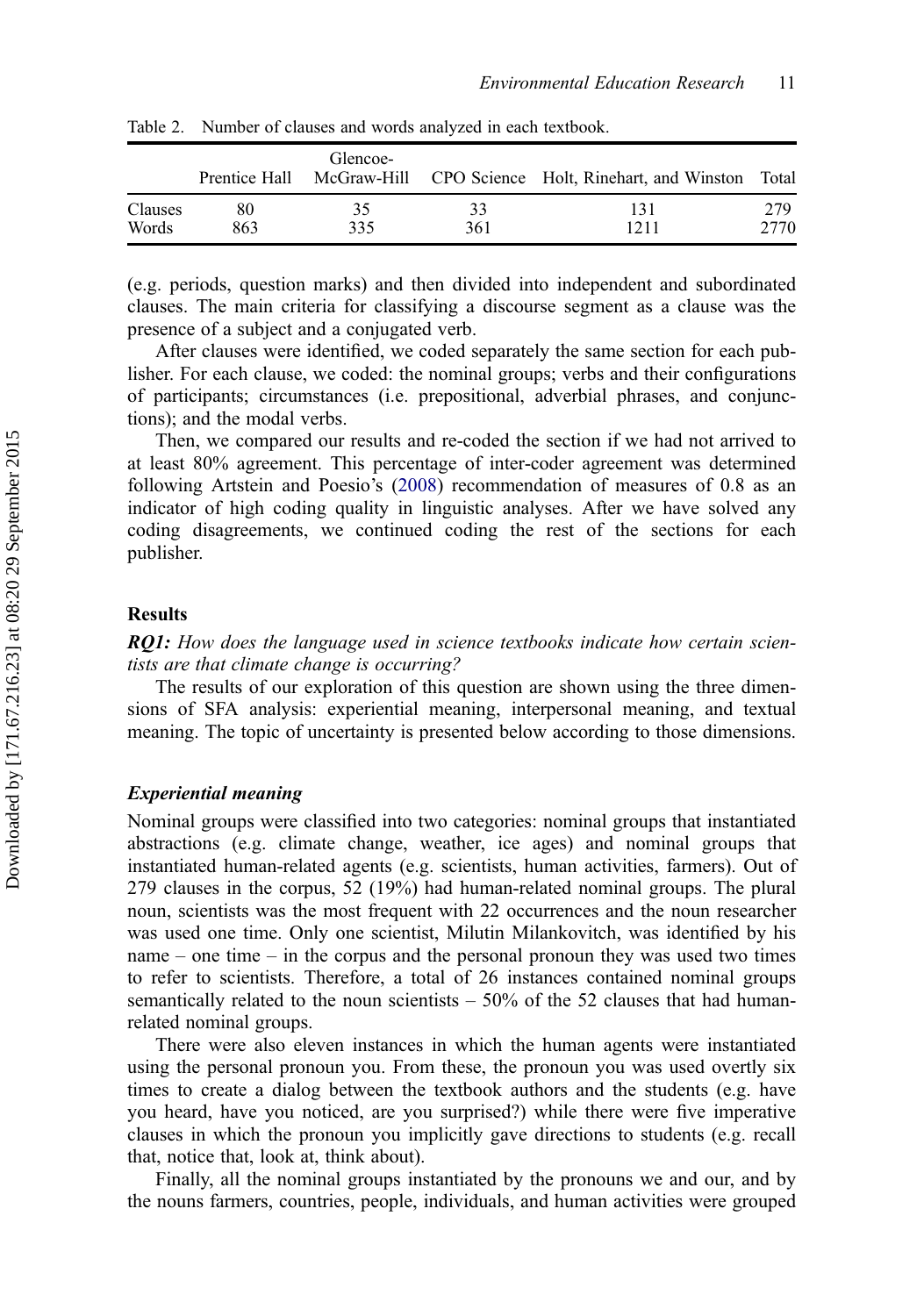|         | Prentice Hall | Glencoe- |     | McGraw-Hill CPO Science Holt, Rinehart, and Winston Total |      |
|---------|---------------|----------|-----|-----------------------------------------------------------|------|
| Clauses | 80            | 35       | 33  | 131                                                       | 279  |
| Words   | 863           | 335      | 361 | 1211                                                      | 2770 |

<span id="page-11-0"></span>Table 2. Number of clauses and words analyzed in each textbook.

(e.g. periods, question marks) and then divided into independent and subordinated clauses. The main criteria for classifying a discourse segment as a clause was the presence of a subject and a conjugated verb.

After clauses were identified, we coded separately the same section for each publisher. For each clause, we coded: the nominal groups; verbs and their configurations of participants; circumstances (i.e. prepositional, adverbial phrases, and conjunctions); and the modal verbs.

Then, we compared our results and re-coded the section if we had not arrived to at least 80% agreement. This percentage of inter-coder agreement was determined following Artstein and Poesio's ([2008](#page-19-0)) recommendation of measures of 0.8 as an indicator of high coding quality in linguistic analyses. After we have solved any coding disagreements, we continued coding the rest of the sections for each publisher.

#### Results

**RQ1:** How does the language used in science textbooks indicate how certain scientists are that climate change is occurring?

The results of our exploration of this question are shown using the three dimensions of SFA analysis: experiential meaning, interpersonal meaning, and textual meaning. The topic of uncertainty is presented below according to those dimensions.

#### Experiential meaning

Nominal groups were classified into two categories: nominal groups that instantiated abstractions (e.g. climate change, weather, ice ages) and nominal groups that instantiated human-related agents (e.g. scientists, human activities, farmers). Out of 279 clauses in the corpus, 52 (19%) had human-related nominal groups. The plural noun, scientists was the most frequent with 22 occurrences and the noun researcher was used one time. Only one scientist, Milutin Milankovitch, was identified by his name – one time – in the corpus and the personal pronoun they was used two times to refer to scientists. Therefore, a total of 26 instances contained nominal groups semantically related to the noun scientists  $-50\%$  of the 52 clauses that had humanrelated nominal groups.

There were also eleven instances in which the human agents were instantiated using the personal pronoun you. From these, the pronoun you was used overtly six times to create a dialog between the textbook authors and the students (e.g. have you heard, have you noticed, are you surprised?) while there were five imperative clauses in which the pronoun you implicitly gave directions to students (e.g. recall that, notice that, look at, think about).

Finally, all the nominal groups instantiated by the pronouns we and our, and by the nouns farmers, countries, people, individuals, and human activities were grouped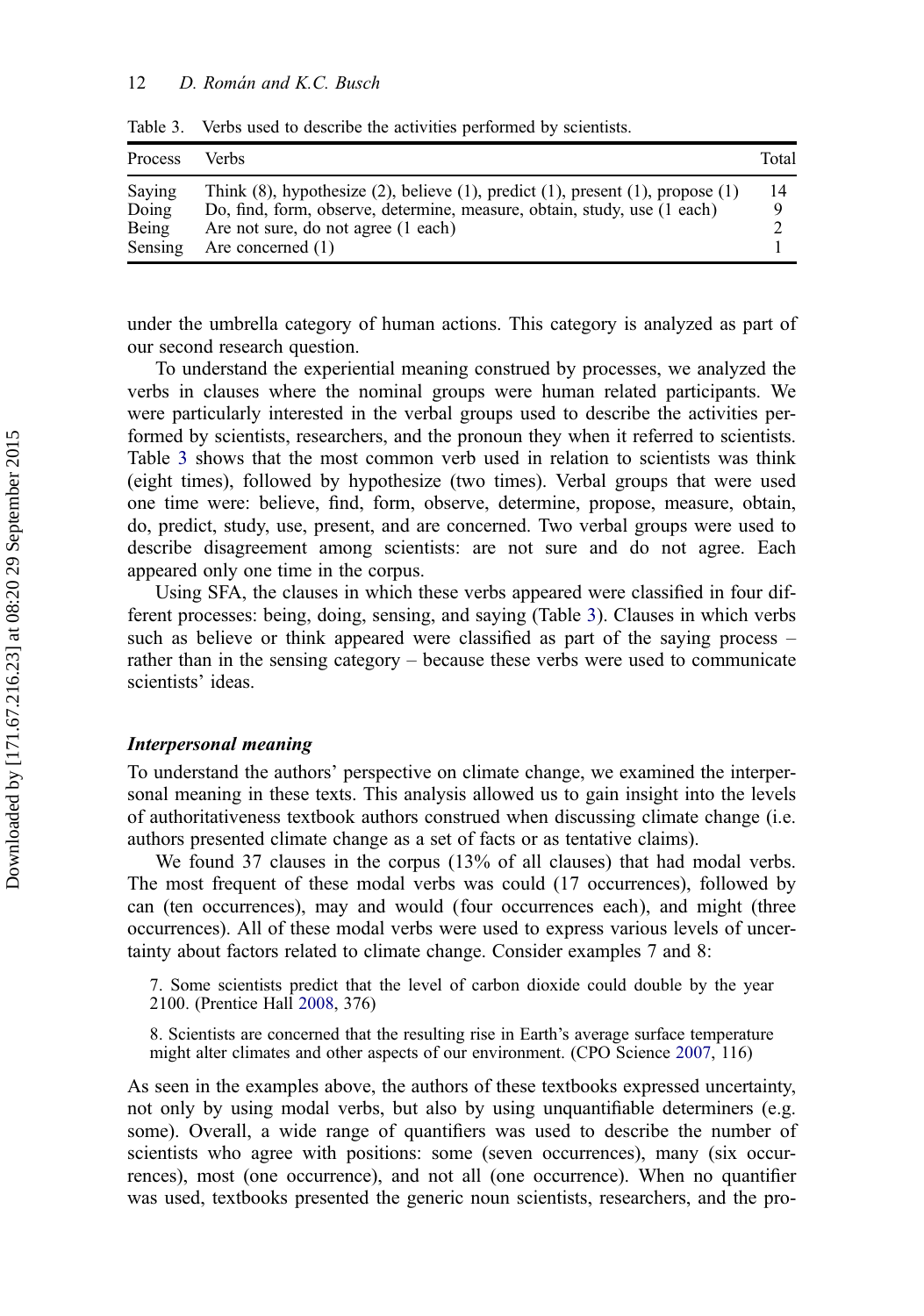| Process                             | Verbs                                                                                                                                                                                                                                     | Total |
|-------------------------------------|-------------------------------------------------------------------------------------------------------------------------------------------------------------------------------------------------------------------------------------------|-------|
| Saying<br>Doing<br>Being<br>Sensing | Think $(8)$ , hypothesize $(2)$ , believe $(1)$ , predict $(1)$ , present $(1)$ , propose $(1)$<br>Do, find, form, observe, determine, measure, obtain, study, use (1 each)<br>Are not sure, do not agree (1 each)<br>Are concerned $(1)$ | 14    |

Table 3. Verbs used to describe the activities performed by scientists.

under the umbrella category of human actions. This category is analyzed as part of our second research question.

To understand the experiential meaning construed by processes, we analyzed the verbs in clauses where the nominal groups were human related participants. We were particularly interested in the verbal groups used to describe the activities performed by scientists, researchers, and the pronoun they when it referred to scientists. Table 3 shows that the most common verb used in relation to scientists was think (eight times), followed by hypothesize (two times). Verbal groups that were used one time were: believe, find, form, observe, determine, propose, measure, obtain, do, predict, study, use, present, and are concerned. Two verbal groups were used to describe disagreement among scientists: are not sure and do not agree. Each appeared only one time in the corpus.

Using SFA, the clauses in which these verbs appeared were classified in four different processes: being, doing, sensing, and saying (Table 3). Clauses in which verbs such as believe or think appeared were classified as part of the saying process – rather than in the sensing category – because these verbs were used to communicate scientists' ideas.

#### Interpersonal meaning

To understand the authors' perspective on climate change, we examined the interpersonal meaning in these texts. This analysis allowed us to gain insight into the levels of authoritativeness textbook authors construed when discussing climate change (i.e. authors presented climate change as a set of facts or as tentative claims).

We found 37 clauses in the corpus (13% of all clauses) that had modal verbs. The most frequent of these modal verbs was could (17 occurrences), followed by can (ten occurrences), may and would (four occurrences each), and might (three occurrences). All of these modal verbs were used to express various levels of uncertainty about factors related to climate change. Consider examples 7 and 8:

7. Some scientists predict that the level of carbon dioxide could double by the year 2100. (Prentice Hall [2008](#page-22-0), 376)

8. Scientists are concerned that the resulting rise in Earth's average surface temperature might alter climates and other aspects of our environment. (CPO Science [2007,](#page-20-0) 116)

As seen in the examples above, the authors of these textbooks expressed uncertainty, not only by using modal verbs, but also by using unquantifiable determiners (e.g. some). Overall, a wide range of quantifiers was used to describe the number of scientists who agree with positions: some (seven occurrences), many (six occurrences), most (one occurrence), and not all (one occurrence). When no quantifier was used, textbooks presented the generic noun scientists, researchers, and the pro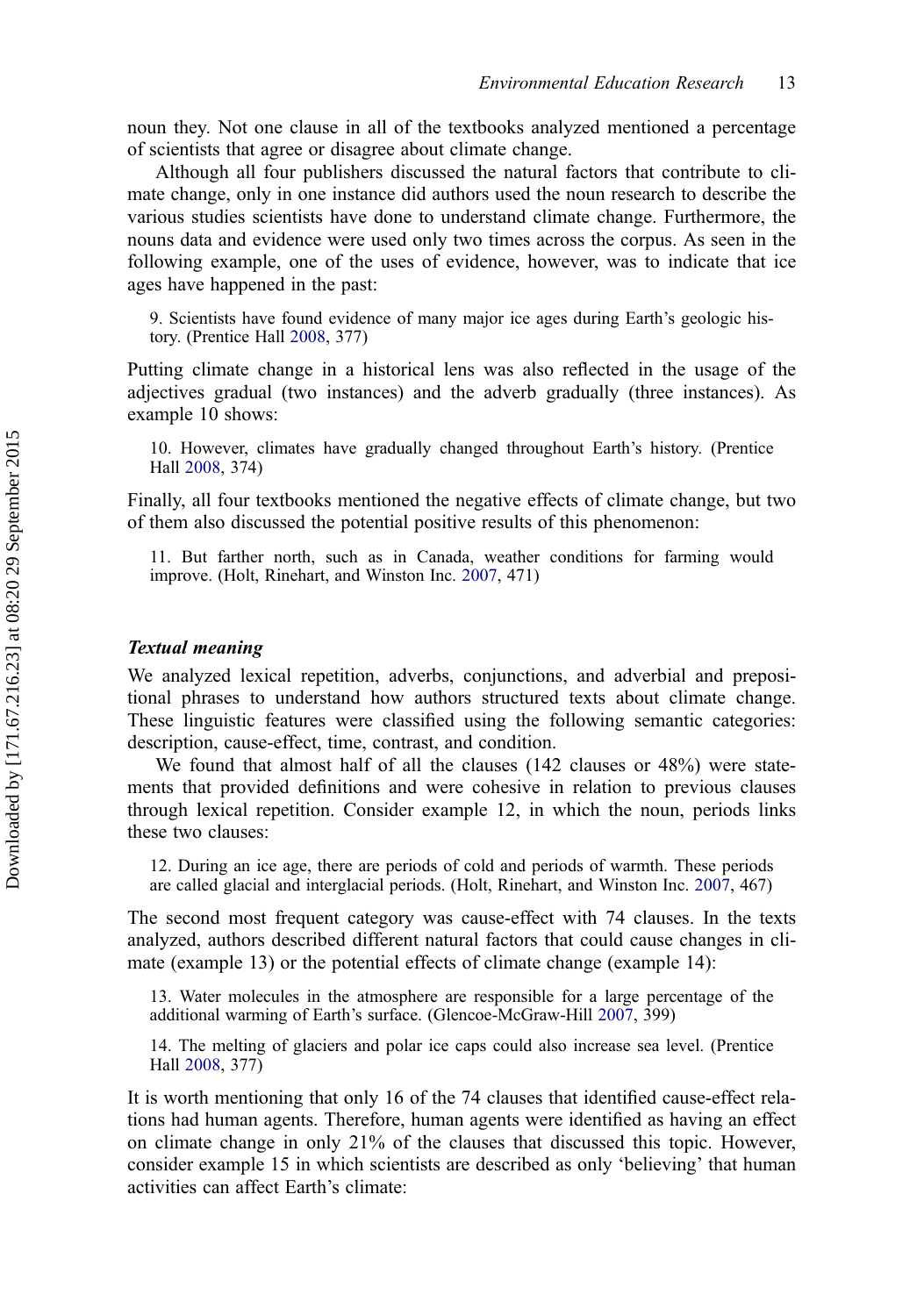noun they. Not one clause in all of the textbooks analyzed mentioned a percentage of scientists that agree or disagree about climate change.

Although all four publishers discussed the natural factors that contribute to climate change, only in one instance did authors used the noun research to describe the various studies scientists have done to understand climate change. Furthermore, the nouns data and evidence were used only two times across the corpus. As seen in the following example, one of the uses of evidence, however, was to indicate that ice ages have happened in the past:

9. Scientists have found evidence of many major ice ages during Earth's geologic history. (Prentice Hall [2008,](#page-22-0) 377)

Putting climate change in a historical lens was also reflected in the usage of the adjectives gradual (two instances) and the adverb gradually (three instances). As example 10 shows:

10. However, climates have gradually changed throughout Earth's history. (Prentice Hall [2008,](#page-22-0) 374)

Finally, all four textbooks mentioned the negative effects of climate change, but two of them also discussed the potential positive results of this phenomenon:

11. But farther north, such as in Canada, weather conditions for farming would improve. (Holt, Rinehart, and Winston Inc. [2007,](#page-21-0) 471)

#### Textual meaning

We analyzed lexical repetition, adverbs, conjunctions, and adverbial and prepositional phrases to understand how authors structured texts about climate change. These linguistic features were classified using the following semantic categories: description, cause-effect, time, contrast, and condition.

We found that almost half of all the clauses (142 clauses or 48%) were statements that provided definitions and were cohesive in relation to previous clauses through lexical repetition. Consider example 12, in which the noun, periods links these two clauses:

12. During an ice age, there are periods of cold and periods of warmth. These periods are called glacial and interglacial periods. (Holt, Rinehart, and Winston Inc. [2007,](#page-21-0) 467)

The second most frequent category was cause-effect with 74 clauses. In the texts analyzed, authors described different natural factors that could cause changes in climate (example 13) or the potential effects of climate change (example 14):

13. Water molecules in the atmosphere are responsible for a large percentage of the additional warming of Earth's surface. (Glencoe-McGraw-Hill [2007](#page-21-0), 399)

14. The melting of glaciers and polar ice caps could also increase sea level. (Prentice Hall [2008,](#page-22-0) 377)

It is worth mentioning that only 16 of the 74 clauses that identified cause-effect relations had human agents. Therefore, human agents were identified as having an effect on climate change in only 21% of the clauses that discussed this topic. However, consider example 15 in which scientists are described as only 'believing' that human activities can affect Earth's climate: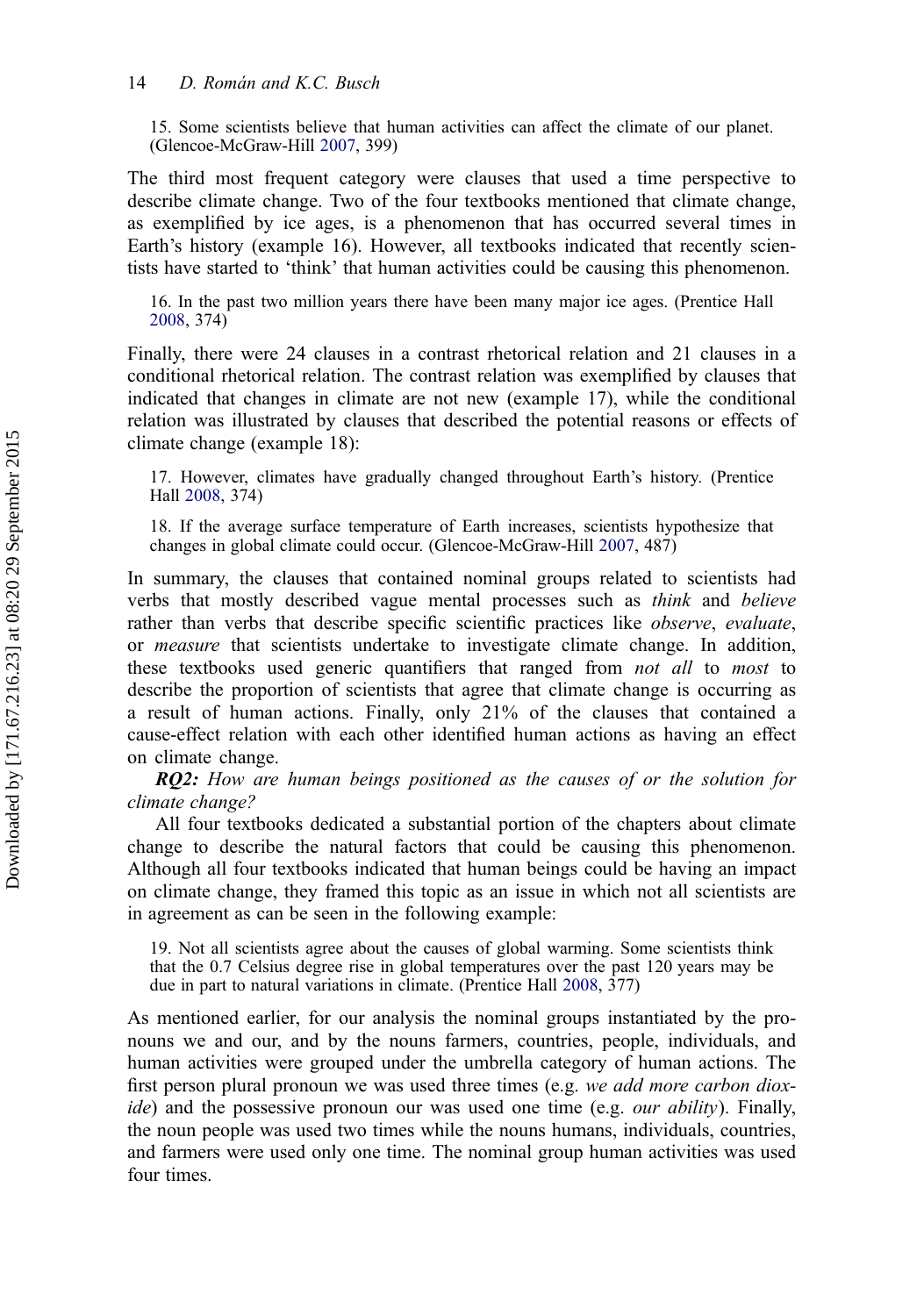15. Some scientists believe that human activities can affect the climate of our planet. (Glencoe-McGraw-Hill [2007,](#page-21-0) 399)

The third most frequent category were clauses that used a time perspective to describe climate change. Two of the four textbooks mentioned that climate change, as exemplified by ice ages, is a phenomenon that has occurred several times in Earth's history (example 16). However, all textbooks indicated that recently scientists have started to 'think' that human activities could be causing this phenomenon.

16. In the past two million years there have been many major ice ages. (Prentice Hall [2008,](#page-22-0) 374)

Finally, there were 24 clauses in a contrast rhetorical relation and 21 clauses in a conditional rhetorical relation. The contrast relation was exemplified by clauses that indicated that changes in climate are not new (example 17), while the conditional relation was illustrated by clauses that described the potential reasons or effects of climate change (example 18):

17. However, climates have gradually changed throughout Earth's history. (Prentice Hall [2008,](#page-22-0) 374)

18. If the average surface temperature of Earth increases, scientists hypothesize that changes in global climate could occur. (Glencoe-McGraw-Hill [2007,](#page-21-0) 487)

In summary, the clauses that contained nominal groups related to scientists had verbs that mostly described vague mental processes such as think and believe rather than verbs that describe specific scientific practices like *observe*, evaluate, or measure that scientists undertake to investigate climate change. In addition, these textbooks used generic quantifiers that ranged from *not all* to *most* to describe the proportion of scientists that agree that climate change is occurring as a result of human actions. Finally, only 21% of the clauses that contained a cause-effect relation with each other identified human actions as having an effect on climate change.

RQ2: How are human beings positioned as the causes of or the solution for climate change?

All four textbooks dedicated a substantial portion of the chapters about climate change to describe the natural factors that could be causing this phenomenon. Although all four textbooks indicated that human beings could be having an impact on climate change, they framed this topic as an issue in which not all scientists are in agreement as can be seen in the following example:

19. Not all scientists agree about the causes of global warming. Some scientists think that the 0.7 Celsius degree rise in global temperatures over the past 120 years may be due in part to natural variations in climate. (Prentice Hall [2008](#page-22-0), 377)

As mentioned earlier, for our analysis the nominal groups instantiated by the pronouns we and our, and by the nouns farmers, countries, people, individuals, and human activities were grouped under the umbrella category of human actions. The first person plural pronoun we was used three times (e.g. we add more carbon dioxide) and the possessive pronoun our was used one time (e.g. *our ability*). Finally, the noun people was used two times while the nouns humans, individuals, countries, and farmers were used only one time. The nominal group human activities was used four times.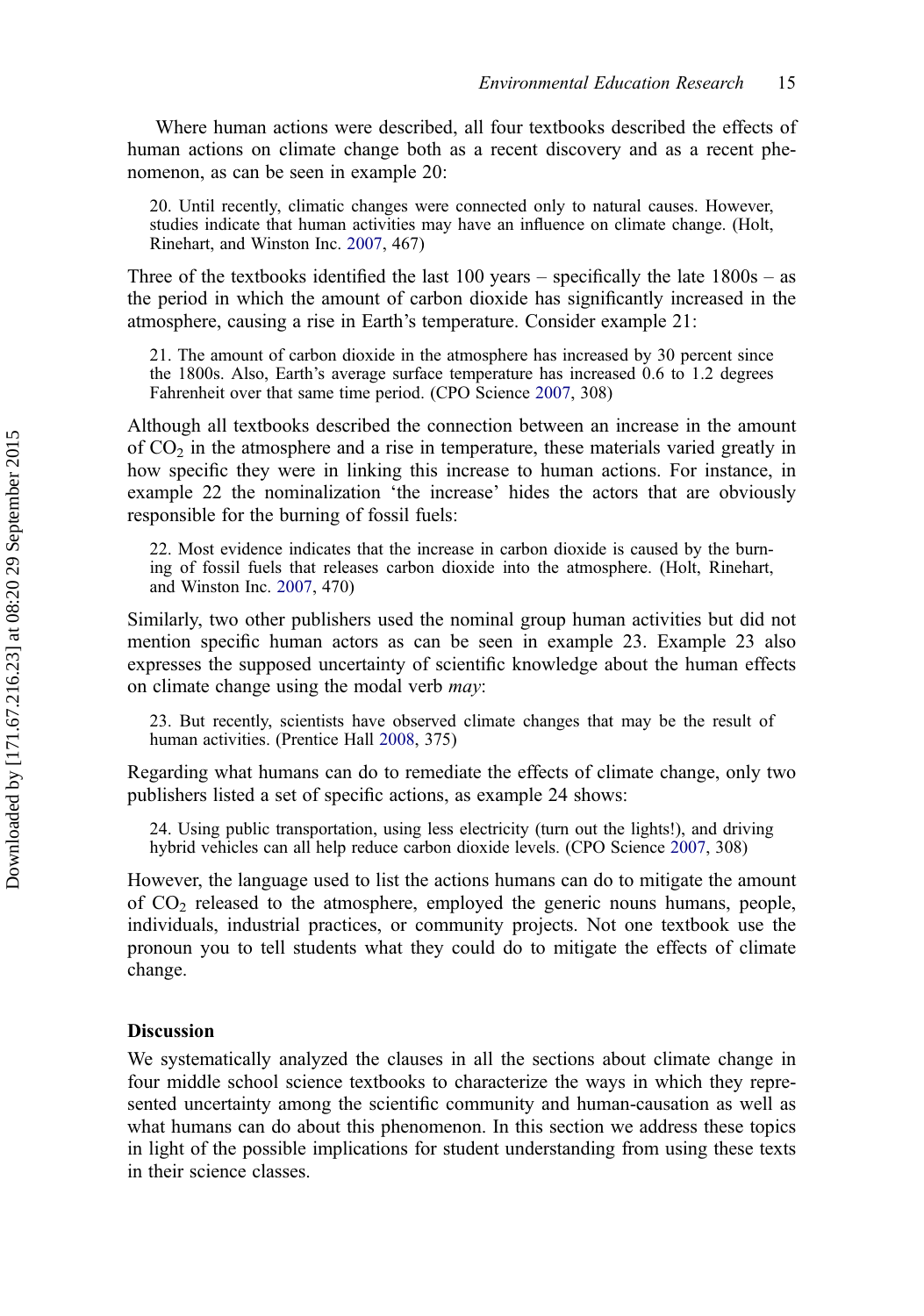Where human actions were described, all four textbooks described the effects of human actions on climate change both as a recent discovery and as a recent phenomenon, as can be seen in example 20:

20. Until recently, climatic changes were connected only to natural causes. However, studies indicate that human activities may have an influence on climate change. (Holt, Rinehart, and Winston Inc. [2007](#page-21-0), 467)

Three of the textbooks identified the last  $100$  years – specifically the late  $1800s - as$ the period in which the amount of carbon dioxide has significantly increased in the atmosphere, causing a rise in Earth's temperature. Consider example 21:

21. The amount of carbon dioxide in the atmosphere has increased by 30 percent since the 1800s. Also, Earth's average surface temperature has increased 0.6 to 1.2 degrees Fahrenheit over that same time period. (CPO Science [2007,](#page-20-0) 308)

Although all textbooks described the connection between an increase in the amount of  $CO<sub>2</sub>$  in the atmosphere and a rise in temperature, these materials varied greatly in how specific they were in linking this increase to human actions. For instance, in example 22 the nominalization 'the increase' hides the actors that are obviously responsible for the burning of fossil fuels:

22. Most evidence indicates that the increase in carbon dioxide is caused by the burning of fossil fuels that releases carbon dioxide into the atmosphere. (Holt, Rinehart, and Winston Inc. [2007,](#page-21-0) 470)

Similarly, two other publishers used the nominal group human activities but did not mention specific human actors as can be seen in example 23. Example 23 also expresses the supposed uncertainty of scientific knowledge about the human effects on climate change using the modal verb may:

23. But recently, scientists have observed climate changes that may be the result of human activities. (Prentice Hall [2008](#page-22-0), 375)

Regarding what humans can do to remediate the effects of climate change, only two publishers listed a set of specific actions, as example 24 shows:

24. Using public transportation, using less electricity (turn out the lights!), and driving hybrid vehicles can all help reduce carbon dioxide levels. (CPO Science [2007,](#page-20-0) 308)

However, the language used to list the actions humans can do to mitigate the amount of  $CO<sub>2</sub>$  released to the atmosphere, employed the generic nouns humans, people, individuals, industrial practices, or community projects. Not one textbook use the pronoun you to tell students what they could do to mitigate the effects of climate change.

#### **Discussion**

We systematically analyzed the clauses in all the sections about climate change in four middle school science textbooks to characterize the ways in which they represented uncertainty among the scientific community and human-causation as well as what humans can do about this phenomenon. In this section we address these topics in light of the possible implications for student understanding from using these texts in their science classes.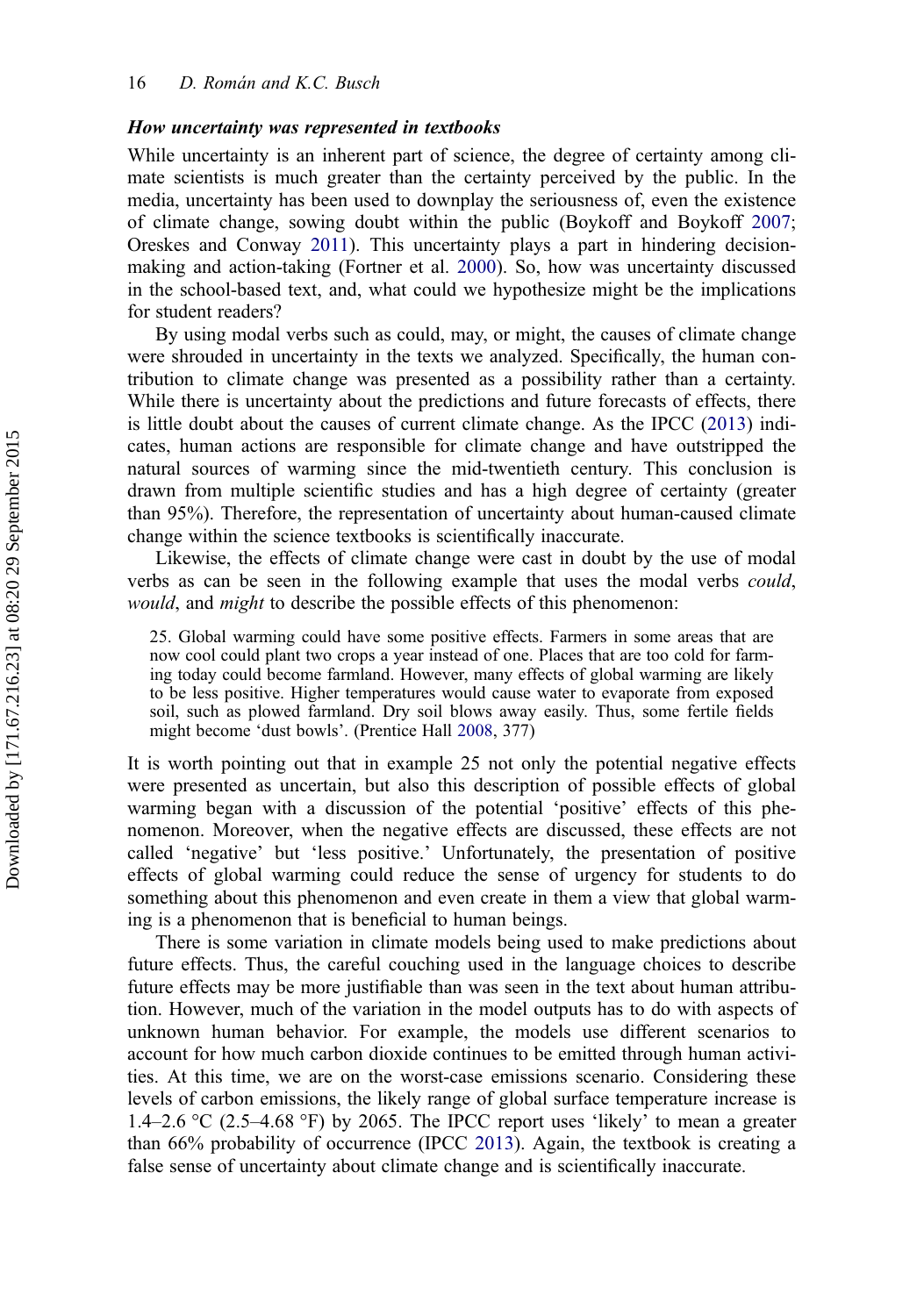#### How uncertainty was represented in textbooks

While uncertainty is an inherent part of science, the degree of certainty among climate scientists is much greater than the certainty perceived by the public. In the media, uncertainty has been used to downplay the seriousness of, even the existence of climate change, sowing doubt within the public (Boykoff and Boykoff [2007](#page-19-0); Oreskes and Conway [2011\)](#page-22-0). This uncertainty plays a part in hindering decisionmaking and action-taking (Fortner et al. [2000](#page-20-0)). So, how was uncertainty discussed in the school-based text, and, what could we hypothesize might be the implications for student readers?

By using modal verbs such as could, may, or might, the causes of climate change were shrouded in uncertainty in the texts we analyzed. Specifically, the human contribution to climate change was presented as a possibility rather than a certainty. While there is uncertainty about the predictions and future forecasts of effects, there is little doubt about the causes of current climate change. As the IPCC ([2013\)](#page-21-0) indicates, human actions are responsible for climate change and have outstripped the natural sources of warming since the mid-twentieth century. This conclusion is drawn from multiple scientific studies and has a high degree of certainty (greater than 95%). Therefore, the representation of uncertainty about human-caused climate change within the science textbooks is scientifically inaccurate.

Likewise, the effects of climate change were cast in doubt by the use of modal verbs as can be seen in the following example that uses the modal verbs could, would, and *might* to describe the possible effects of this phenomenon:

25. Global warming could have some positive effects. Farmers in some areas that are now cool could plant two crops a year instead of one. Places that are too cold for farming today could become farmland. However, many effects of global warming are likely to be less positive. Higher temperatures would cause water to evaporate from exposed soil, such as plowed farmland. Dry soil blows away easily. Thus, some fertile fields might become 'dust bowls'. (Prentice Hall [2008](#page-22-0), 377)

It is worth pointing out that in example 25 not only the potential negative effects were presented as uncertain, but also this description of possible effects of global warming began with a discussion of the potential 'positive' effects of this phenomenon. Moreover, when the negative effects are discussed, these effects are not called 'negative' but 'less positive.' Unfortunately, the presentation of positive effects of global warming could reduce the sense of urgency for students to do something about this phenomenon and even create in them a view that global warming is a phenomenon that is beneficial to human beings.

There is some variation in climate models being used to make predictions about future effects. Thus, the careful couching used in the language choices to describe future effects may be more justifiable than was seen in the text about human attribution. However, much of the variation in the model outputs has to do with aspects of unknown human behavior. For example, the models use different scenarios to account for how much carbon dioxide continues to be emitted through human activities. At this time, we are on the worst-case emissions scenario. Considering these levels of carbon emissions, the likely range of global surface temperature increase is 1.4–2.6 °C (2.5–4.68 °F) by 2065. The IPCC report uses 'likely' to mean a greater than 66% probability of occurrence (IPCC [2013\)](#page-21-0). Again, the textbook is creating a false sense of uncertainty about climate change and is scientifically inaccurate.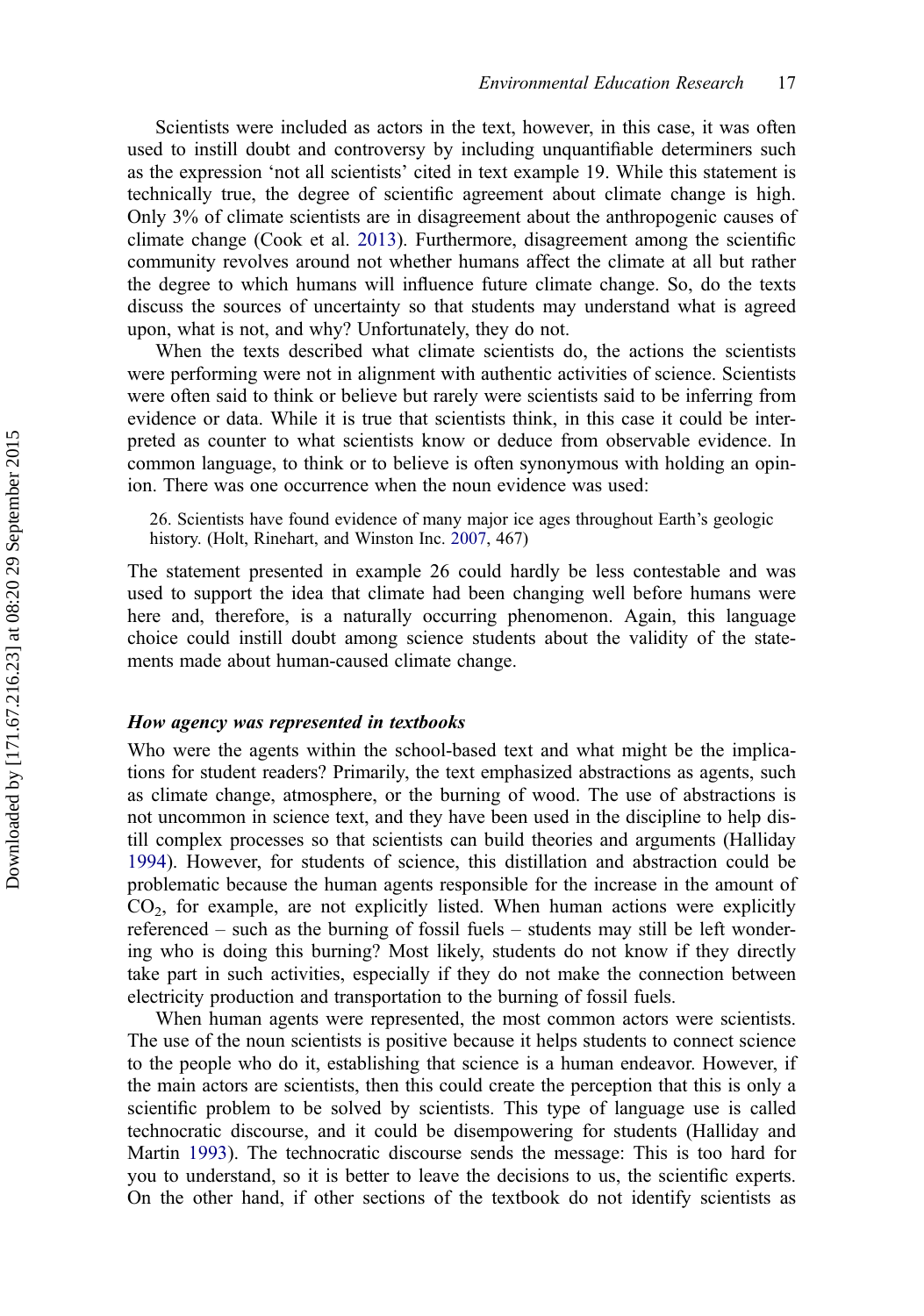Scientists were included as actors in the text, however, in this case, it was often used to instill doubt and controversy by including unquantifiable determiners such as the expression 'not all scientists' cited in text example 19. While this statement is technically true, the degree of scientific agreement about climate change is high. Only 3% of climate scientists are in disagreement about the anthropogenic causes of climate change (Cook et al. [2013\)](#page-20-0). Furthermore, disagreement among the scientific community revolves around not whether humans affect the climate at all but rather the degree to which humans will influence future climate change. So, do the texts discuss the sources of uncertainty so that students may understand what is agreed upon, what is not, and why? Unfortunately, they do not.

When the texts described what climate scientists do, the actions the scientists were performing were not in alignment with authentic activities of science. Scientists were often said to think or believe but rarely were scientists said to be inferring from evidence or data. While it is true that scientists think, in this case it could be interpreted as counter to what scientists know or deduce from observable evidence. In common language, to think or to believe is often synonymous with holding an opinion. There was one occurrence when the noun evidence was used:

26. Scientists have found evidence of many major ice ages throughout Earth's geologic history. (Holt, Rinehart, and Winston Inc. [2007,](#page-21-0) 467)

The statement presented in example 26 could hardly be less contestable and was used to support the idea that climate had been changing well before humans were here and, therefore, is a naturally occurring phenomenon. Again, this language choice could instill doubt among science students about the validity of the statements made about human-caused climate change.

#### How agency was represented in textbooks

Who were the agents within the school-based text and what might be the implications for student readers? Primarily, the text emphasized abstractions as agents, such as climate change, atmosphere, or the burning of wood. The use of abstractions is not uncommon in science text, and they have been used in the discipline to help distill complex processes so that scientists can build theories and arguments (Halliday [1994\)](#page-21-0). However, for students of science, this distillation and abstraction could be problematic because the human agents responsible for the increase in the amount of CO2, for example, are not explicitly listed. When human actions were explicitly referenced – such as the burning of fossil fuels – students may still be left wondering who is doing this burning? Most likely, students do not know if they directly take part in such activities, especially if they do not make the connection between electricity production and transportation to the burning of fossil fuels.

When human agents were represented, the most common actors were scientists. The use of the noun scientists is positive because it helps students to connect science to the people who do it, establishing that science is a human endeavor. However, if the main actors are scientists, then this could create the perception that this is only a scientific problem to be solved by scientists. This type of language use is called technocratic discourse, and it could be disempowering for students (Halliday and Martin [1993\)](#page-21-0). The technocratic discourse sends the message: This is too hard for you to understand, so it is better to leave the decisions to us, the scientific experts. On the other hand, if other sections of the textbook do not identify scientists as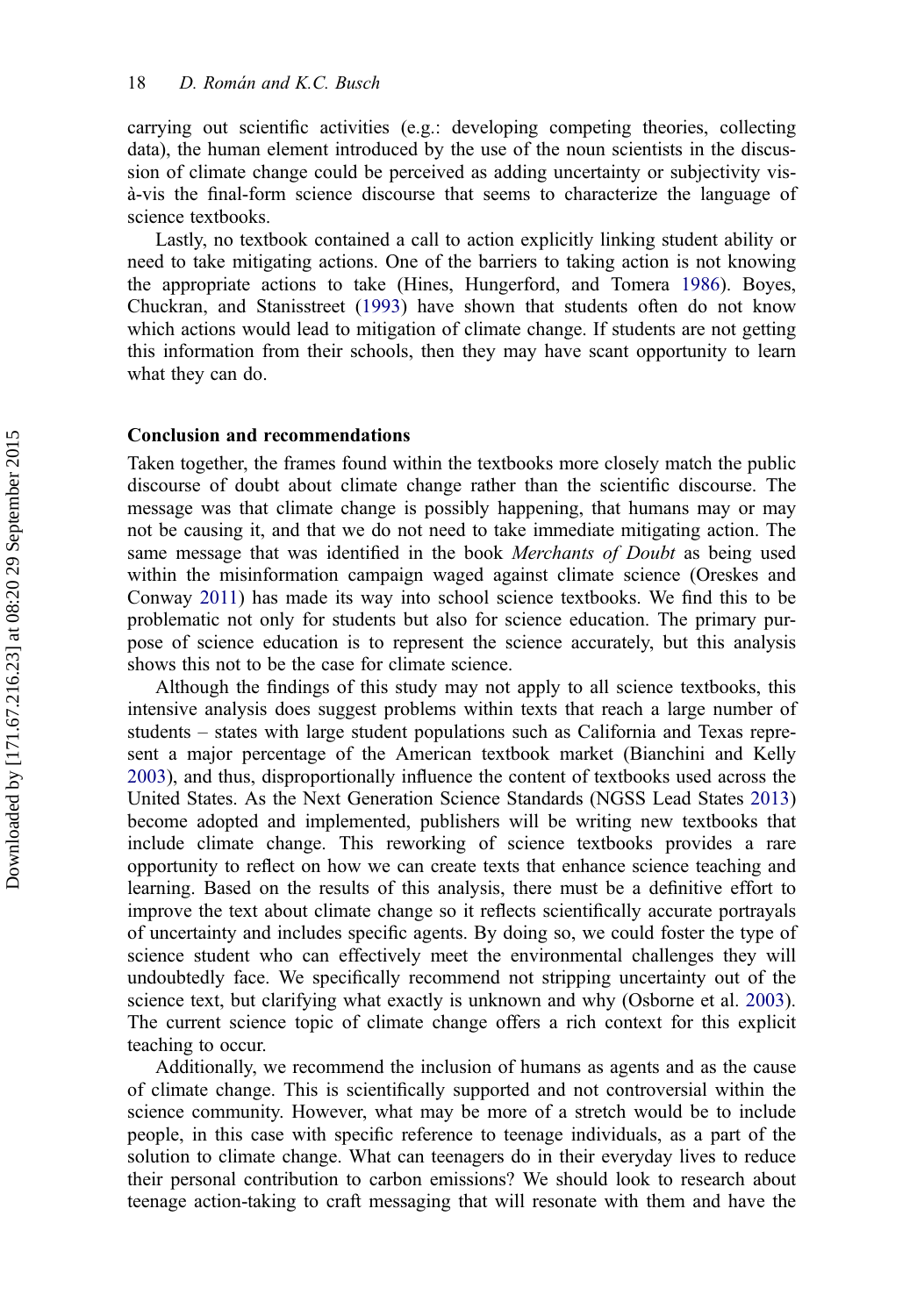carrying out scientific activities (e.g.: developing competing theories, collecting data), the human element introduced by the use of the noun scientists in the discussion of climate change could be perceived as adding uncertainty or subjectivity visà-vis the final-form science discourse that seems to characterize the language of science textbooks.

Lastly, no textbook contained a call to action explicitly linking student ability or need to take mitigating actions. One of the barriers to taking action is not knowing the appropriate actions to take (Hines, Hungerford, and Tomera [1986\)](#page-21-0). Boyes, Chuckran, and Stanisstreet [\(1993](#page-19-0)) have shown that students often do not know which actions would lead to mitigation of climate change. If students are not getting this information from their schools, then they may have scant opportunity to learn what they can do.

#### Conclusion and recommendations

Taken together, the frames found within the textbooks more closely match the public discourse of doubt about climate change rather than the scientific discourse. The message was that climate change is possibly happening, that humans may or may not be causing it, and that we do not need to take immediate mitigating action. The same message that was identified in the book *Merchants of Doubt* as being used within the misinformation campaign waged against climate science (Oreskes and Conway [2011](#page-22-0)) has made its way into school science textbooks. We find this to be problematic not only for students but also for science education. The primary purpose of science education is to represent the science accurately, but this analysis shows this not to be the case for climate science.

Although the findings of this study may not apply to all science textbooks, this intensive analysis does suggest problems within texts that reach a large number of students – states with large student populations such as California and Texas represent a major percentage of the American textbook market (Bianchini and Kelly [2003\)](#page-19-0), and thus, disproportionally influence the content of textbooks used across the United States. As the Next Generation Science Standards (NGSS Lead States [2013\)](#page-22-0) become adopted and implemented, publishers will be writing new textbooks that include climate change. This reworking of science textbooks provides a rare opportunity to reflect on how we can create texts that enhance science teaching and learning. Based on the results of this analysis, there must be a definitive effort to improve the text about climate change so it reflects scientifically accurate portrayals of uncertainty and includes specific agents. By doing so, we could foster the type of science student who can effectively meet the environmental challenges they will undoubtedly face. We specifically recommend not stripping uncertainty out of the science text, but clarifying what exactly is unknown and why (Osborne et al. [2003](#page-22-0)). The current science topic of climate change offers a rich context for this explicit teaching to occur.

Additionally, we recommend the inclusion of humans as agents and as the cause of climate change. This is scientifically supported and not controversial within the science community. However, what may be more of a stretch would be to include people, in this case with specific reference to teenage individuals, as a part of the solution to climate change. What can teenagers do in their everyday lives to reduce their personal contribution to carbon emissions? We should look to research about teenage action-taking to craft messaging that will resonate with them and have the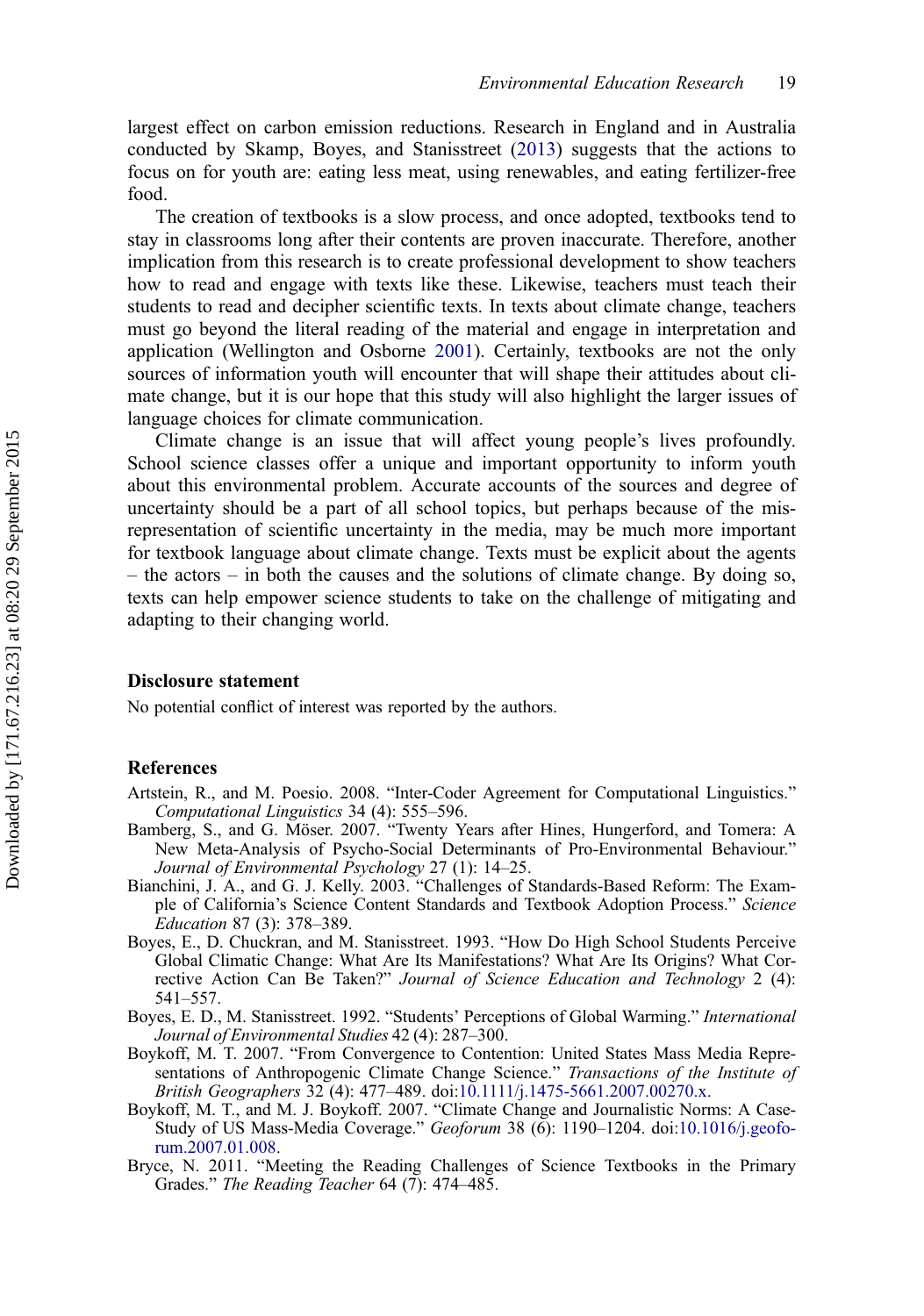<span id="page-19-0"></span>largest effect on carbon emission reductions. Research in England and in Australia conducted by Skamp, Boyes, and Stanisstreet [\(2013](#page-22-0)) suggests that the actions to focus on for youth are: eating less meat, using renewables, and eating fertilizer-free food.

The creation of textbooks is a slow process, and once adopted, textbooks tend to stay in classrooms long after their contents are proven inaccurate. Therefore, another implication from this research is to create professional development to show teachers how to read and engage with texts like these. Likewise, teachers must teach their students to read and decipher scientific texts. In texts about climate change, teachers must go beyond the literal reading of the material and engage in interpretation and application (Wellington and Osborne [2001](#page-23-0)). Certainly, textbooks are not the only sources of information youth will encounter that will shape their attitudes about climate change, but it is our hope that this study will also highlight the larger issues of language choices for climate communication.

Climate change is an issue that will affect young people's lives profoundly. School science classes offer a unique and important opportunity to inform youth about this environmental problem. Accurate accounts of the sources and degree of uncertainty should be a part of all school topics, but perhaps because of the misrepresentation of scientific uncertainty in the media, may be much more important for textbook language about climate change. Texts must be explicit about the agents – the actors – in both the causes and the solutions of climate change. By doing so, texts can help empower science students to take on the challenge of mitigating and adapting to their changing world.

## Disclosure statement

No potential conflict of interest was reported by the authors.

# **References**

- Artstein, R., and M. Poesio. 2008. "Inter-Coder Agreement for Computational Linguistics." Computational Linguistics 34 (4): 555–596.
- Bamberg, S., and G. Möser. 2007. "Twenty Years after Hines, Hungerford, and Tomera: A New Meta-Analysis of Psycho-Social Determinants of Pro-Environmental Behaviour." Journal of Environmental Psychology 27 (1): 14–25.
- Bianchini, J. A., and G. J. Kelly. 2003. "Challenges of Standards-Based Reform: The Example of California's Science Content Standards and Textbook Adoption Process." Science Education 87 (3): 378–389.
- Boyes, E., D. Chuckran, and M. Stanisstreet. 1993. "How Do High School Students Perceive Global Climatic Change: What Are Its Manifestations? What Are Its Origins? What Corrective Action Can Be Taken?" Journal of Science Education and Technology 2 (4): 541–557.
- Boyes, E. D., M. Stanisstreet. 1992. "Students' Perceptions of Global Warming." International Journal of Environmental Studies 42 (4): 287–300.
- Boykoff, M. T. 2007. "From Convergence to Contention: United States Mass Media Representations of Anthropogenic Climate Change Science." Transactions of the Institute of British Geographers 32 (4): 477–489. doi:[10.1111/j.1475-5661.2007.00270.x.](http://dx.doi.org/10.1111/j.1475-5661.2007.00270.x)
- Boykoff, M. T., and M. J. Boykoff. 2007. "Climate Change and Journalistic Norms: A Case-Study of US Mass-Media Coverage." Geoforum 38 (6): 1190–1204. doi[:10.1016/j.geofo](http://dx.doi.org/10.1016/j.geoforum.2007.01.008)[rum.2007.01.008.](http://dx.doi.org/10.1016/j.geoforum.2007.01.008)
- Bryce, N. 2011. "Meeting the Reading Challenges of Science Textbooks in the Primary Grades." The Reading Teacher 64 (7): 474–485.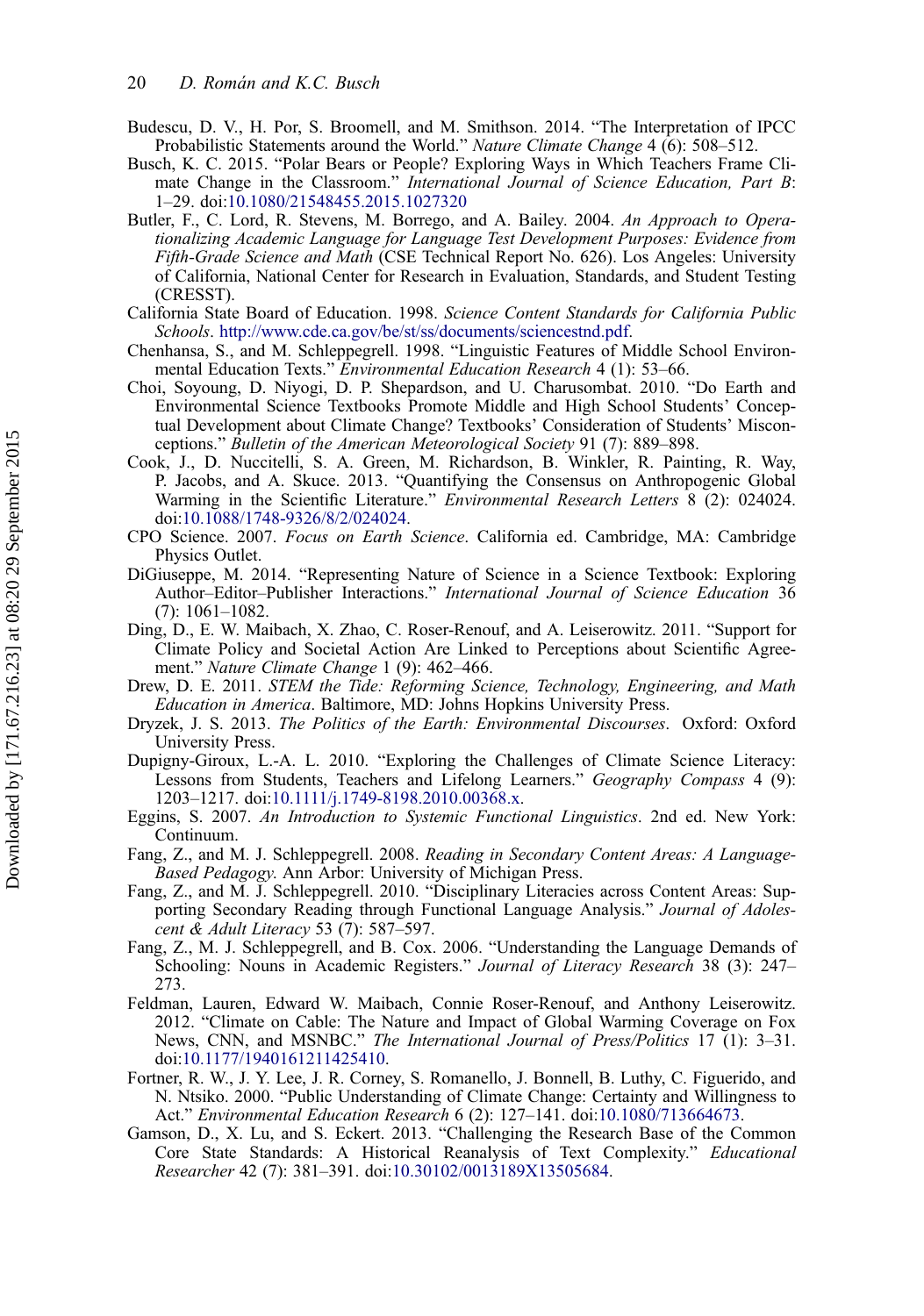- <span id="page-20-0"></span>Budescu, D. V., H. Por, S. Broomell, and M. Smithson. 2014. "The Interpretation of IPCC Probabilistic Statements around the World." Nature Climate Change 4 (6): 508-512.
- Busch, K. C. 2015. "Polar Bears or People? Exploring Ways in Which Teachers Frame Climate Change in the Classroom." International Journal of Science Education, Part B: 1–29. doi[:10.1080/21548455.2015.1027320](http://dx.doi.org/10.1080/21548455.2015.1027320)
- Butler, F., C. Lord, R. Stevens, M. Borrego, and A. Bailey. 2004. An Approach to Operationalizing Academic Language for Language Test Development Purposes: Evidence from Fifth-Grade Science and Math (CSE Technical Report No. 626). Los Angeles: University of California, National Center for Research in Evaluation, Standards, and Student Testing (CRESST).
- California State Board of Education. 1998. Science Content Standards for California Public Schools. [http://www.cde.ca.gov/be/st/ss/documents/sciencestnd.pdf.](http://www.cde.ca.gov/be/st/ss/documents/sciencestnd.pdf)
- Chenhansa, S., and M. Schleppegrell. 1998. "Linguistic Features of Middle School Environmental Education Texts." Environmental Education Research 4 (1): 53–66.
- Choi, Soyoung, D. Niyogi, D. P. Shepardson, and U. Charusombat. 2010. "Do Earth and Environmental Science Textbooks Promote Middle and High School Students' Conceptual Development about Climate Change? Textbooks' Consideration of Students' Misconceptions." Bulletin of the American Meteorological Society 91 (7): 889–898.
- Cook, J., D. Nuccitelli, S. A. Green, M. Richardson, B. Winkler, R. Painting, R. Way, P. Jacobs, and A. Skuce. 2013. "Quantifying the Consensus on Anthropogenic Global Warming in the Scientific Literature." Environmental Research Letters 8 (2): 024024. doi[:10.1088/1748-9326/8/2/024024](http://dx.doi.org/10.1088/1748-9326/8/2/024024).
- CPO Science. 2007. Focus on Earth Science. California ed. Cambridge, MA: Cambridge Physics Outlet.
- DiGiuseppe, M. 2014. "Representing Nature of Science in a Science Textbook: Exploring Author–Editor–Publisher Interactions." International Journal of Science Education 36 (7): 1061–1082.
- Ding, D., E. W. Maibach, X. Zhao, C. Roser-Renouf, and A. Leiserowitz. 2011. "Support for Climate Policy and Societal Action Are Linked to Perceptions about Scientific Agreement." Nature Climate Change 1 (9): 462-466.
- Drew, D. E. 2011. STEM the Tide: Reforming Science, Technology, Engineering, and Math Education in America. Baltimore, MD: Johns Hopkins University Press.
- Dryzek, J. S. 2013. The Politics of the Earth: Environmental Discourses. Oxford: Oxford University Press.
- Dupigny-Giroux, L.-A. L. 2010. "Exploring the Challenges of Climate Science Literacy: Lessons from Students, Teachers and Lifelong Learners." Geography Compass 4 (9): 1203–1217. doi[:10.1111/j.1749-8198.2010.00368.x.](http://dx.doi.org/10.1111/j.1749-8198.2010.00368.x)
- Eggins, S. 2007. An Introduction to Systemic Functional Linguistics. 2nd ed. New York: Continuum.
- Fang, Z., and M. J. Schleppegrell. 2008. Reading in Secondary Content Areas: A Language-Based Pedagogy. Ann Arbor: University of Michigan Press.
- Fang, Z., and M. J. Schleppegrell. 2010. "Disciplinary Literacies across Content Areas: Supporting Secondary Reading through Functional Language Analysis." Journal of Adolescent & Adult Literacy 53 (7): 587–597.
- Fang, Z., M. J. Schleppegrell, and B. Cox. 2006. "Understanding the Language Demands of Schooling: Nouns in Academic Registers." Journal of Literacy Research 38 (3): 247-273.
- Feldman, Lauren, Edward W. Maibach, Connie Roser-Renouf, and Anthony Leiserowitz. 2012. "Climate on Cable: The Nature and Impact of Global Warming Coverage on Fox News, CNN, and MSNBC." The International Journal of Press/Politics 17 (1): 3–31. doi[:10.1177/1940161211425410.](http://dx.doi.org/10.1177/1940161211425410)
- Fortner, R. W., J. Y. Lee, J. R. Corney, S. Romanello, J. Bonnell, B. Luthy, C. Figuerido, and N. Ntsiko. 2000. "Public Understanding of Climate Change: Certainty and Willingness to Act." Environmental Education Research 6 (2): 127–141. doi:[10.1080/713664673](http://dx.doi.org/10.1080/713664673).
- Gamson, D., X. Lu, and S. Eckert. 2013. "Challenging the Research Base of the Common Core State Standards: A Historical Reanalysis of Text Complexity." Educational Researcher 42 (7): 381–391. doi[:10.30102/0013189X13505684](http://dx.doi.org/10.30102/0013189X13505684).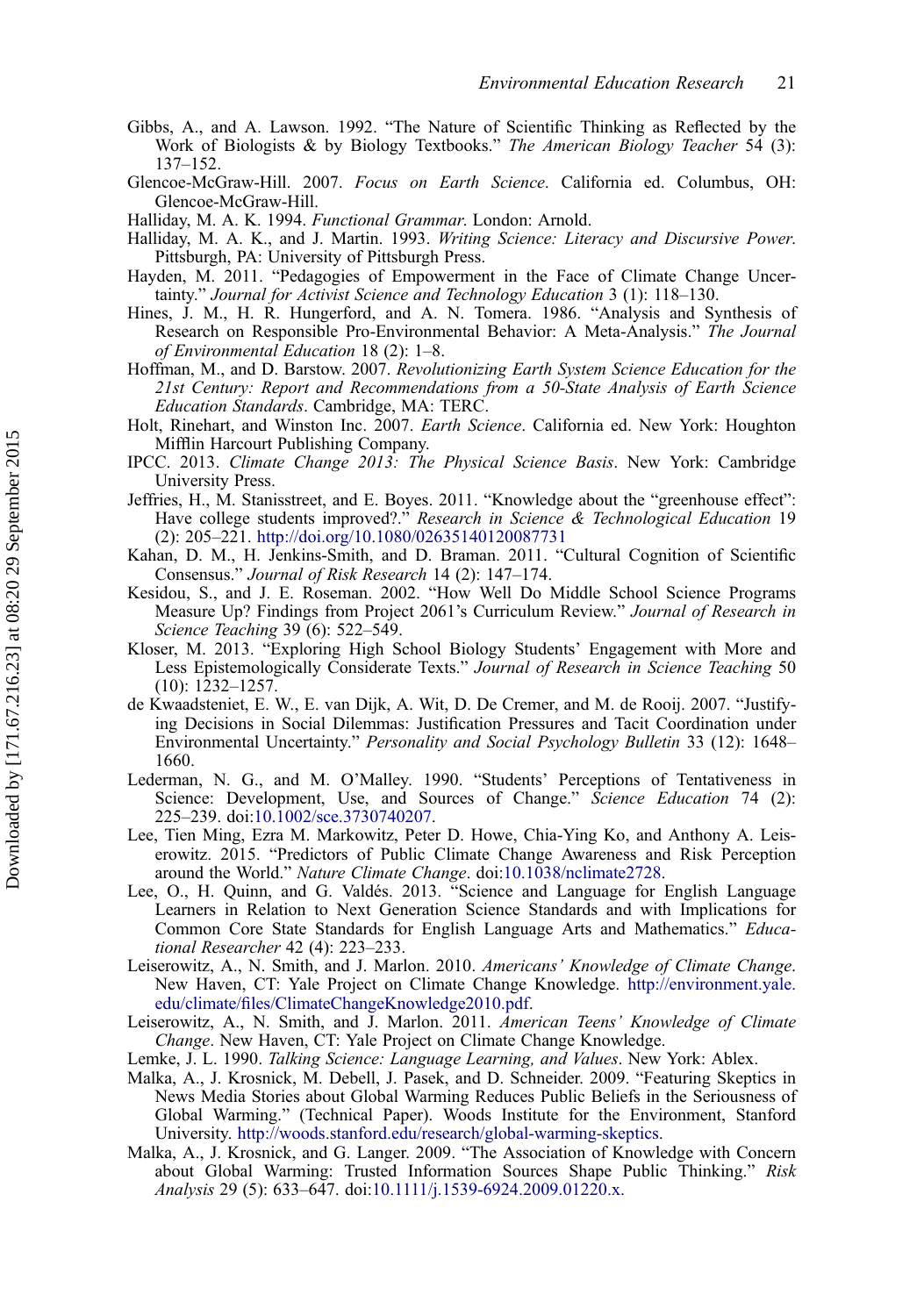- <span id="page-21-0"></span>Gibbs, A., and A. Lawson. 1992. "The Nature of Scientific Thinking as Reflected by the Work of Biologists & by Biology Textbooks." The American Biology Teacher 54 (3): 137–152.
- Glencoe-McGraw-Hill. 2007. Focus on Earth Science. California ed. Columbus, OH: Glencoe-McGraw-Hill.
- Halliday, M. A. K. 1994. Functional Grammar. London: Arnold.
- Halliday, M. A. K., and J. Martin. 1993. Writing Science: Literacy and Discursive Power. Pittsburgh, PA: University of Pittsburgh Press.
- Hayden, M. 2011. "Pedagogies of Empowerment in the Face of Climate Change Uncertainty." Journal for Activist Science and Technology Education 3 (1): 118–130.
- Hines, J. M., H. R. Hungerford, and A. N. Tomera. 1986. "Analysis and Synthesis of Research on Responsible Pro-Environmental Behavior: A Meta-Analysis." The Journal of Environmental Education 18 (2): 1–8.
- Hoffman, M., and D. Barstow. 2007. Revolutionizing Earth System Science Education for the 21st Century: Report and Recommendations from a 50-State Analysis of Earth Science Education Standards. Cambridge, MA: TERC.
- Holt, Rinehart, and Winston Inc. 2007. Earth Science. California ed. New York: Houghton Mifflin Harcourt Publishing Company.
- IPCC. 2013. Climate Change 2013: The Physical Science Basis. New York: Cambridge University Press.
- Jeffries, H., M. Stanisstreet, and E. Boyes. 2011. "Knowledge about the "greenhouse effect": Have college students improved?." Research in Science & Technological Education 19 (2): 205–221. <http://doi.org/10.1080/02635140120087731>
- Kahan, D. M., H. Jenkins-Smith, and D. Braman. 2011. "Cultural Cognition of Scientific Consensus." Journal of Risk Research 14 (2): 147–174.
- Kesidou, S., and J. E. Roseman. 2002. "How Well Do Middle School Science Programs Measure Up? Findings from Project 2061's Curriculum Review." Journal of Research in Science Teaching 39 (6): 522–549.
- Kloser, M. 2013. "Exploring High School Biology Students' Engagement with More and Less Epistemologically Considerate Texts." Journal of Research in Science Teaching 50 (10): 1232–1257.
- de Kwaadsteniet, E. W., E. van Dijk, A. Wit, D. De Cremer, and M. de Rooij. 2007. "Justifying Decisions in Social Dilemmas: Justification Pressures and Tacit Coordination under Environmental Uncertainty." Personality and Social Psychology Bulletin 33 (12): 1648– 1660.
- Lederman, N. G., and M. O'Malley. 1990. "Students' Perceptions of Tentativeness in Science: Development, Use, and Sources of Change." Science Education 74 (2): 225–239. doi:[10.1002/sce.3730740207.](http://dx.doi.org/10.1002/sce.3730740207)
- Lee, Tien Ming, Ezra M. Markowitz, Peter D. Howe, Chia-Ying Ko, and Anthony A. Leiserowitz. 2015. "Predictors of Public Climate Change Awareness and Risk Perception around the World." Nature Climate Change. doi:[10.1038/nclimate2728](http://10.1038/nclimate2728).
- Lee, O., H. Quinn, and G. Valdés. 2013. "Science and Language for English Language Learners in Relation to Next Generation Science Standards and with Implications for Common Core State Standards for English Language Arts and Mathematics." Educational Researcher 42 (4): 223–233.
- Leiserowitz, A., N. Smith, and J. Marlon. 2010. Americans' Knowledge of Climate Change. New Haven, CT: Yale Project on Climate Change Knowledge. [http://environment.yale.](http://environment.yale.edu/climate/files/ClimateChangeKnowledge2010.pdf) edu/climate/fi[les/ClimateChangeKnowledge2010.pdf.](http://environment.yale.edu/climate/files/ClimateChangeKnowledge2010.pdf)
- Leiserowitz, A., N. Smith, and J. Marlon. 2011. American Teens' Knowledge of Climate Change. New Haven, CT: Yale Project on Climate Change Knowledge.
- Lemke, J. L. 1990. Talking Science: Language Learning, and Values. New York: Ablex.
- Malka, A., J. Krosnick, M. Debell, J. Pasek, and D. Schneider. 2009. "Featuring Skeptics in News Media Stories about Global Warming Reduces Public Beliefs in the Seriousness of Global Warming." (Technical Paper). Woods Institute for the Environment, Stanford University. [http://woods.stanford.edu/research/global-warming-skeptics.](http://woods.stanford.edu/research/global-warming-skeptics)
- Malka, A., J. Krosnick, and G. Langer. 2009. "The Association of Knowledge with Concern about Global Warming: Trusted Information Sources Shape Public Thinking." Risk Analysis 29 (5): 633–647. doi:[10.1111/j.1539-6924.2009.01220.x](http://dx.doi.org/10.1111/j.1539-6924.2009.01220.x).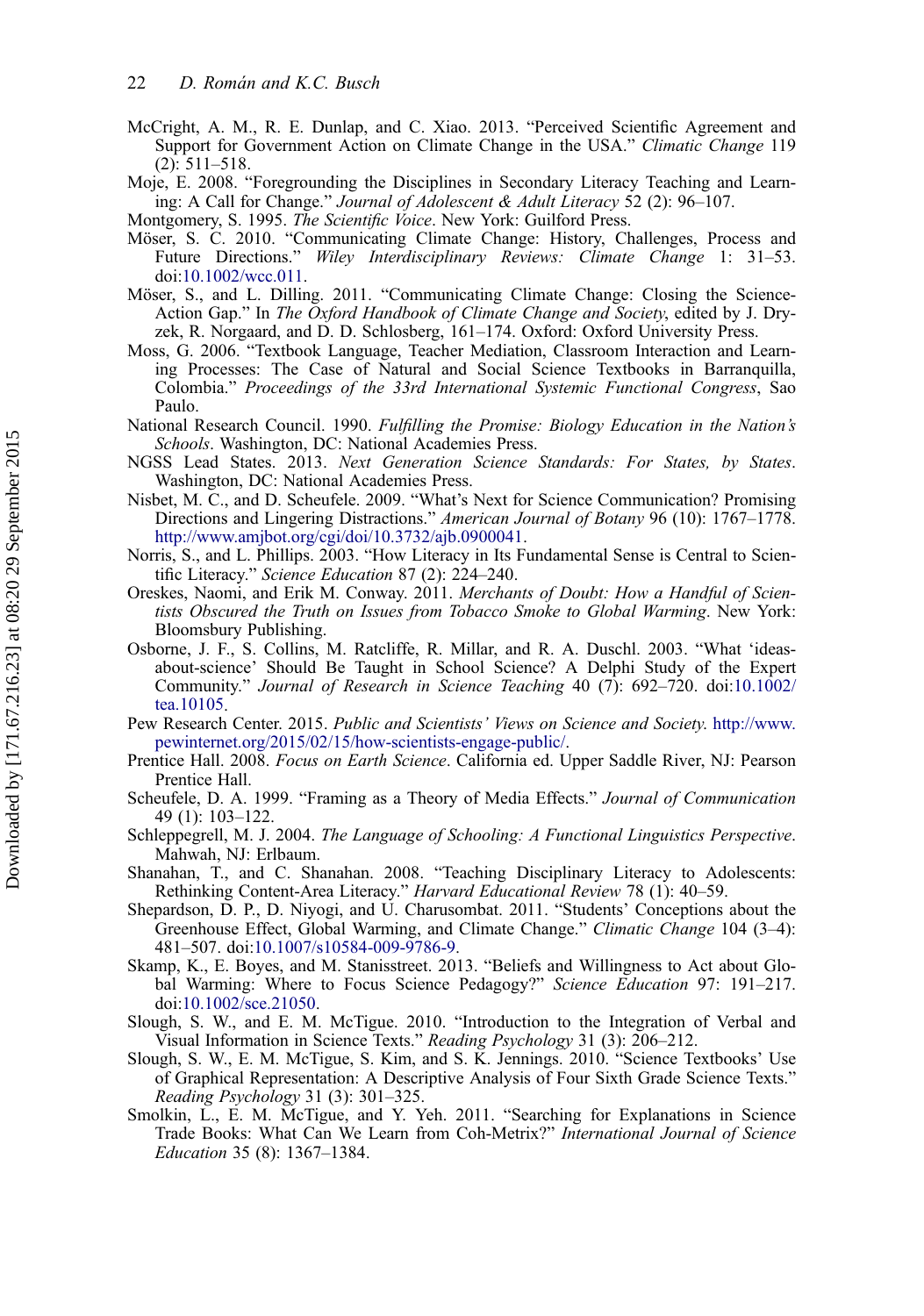- <span id="page-22-0"></span>McCright, A. M., R. E. Dunlap, and C. Xiao. 2013. "Perceived Scientific Agreement and Support for Government Action on Climate Change in the USA." Climatic Change 119 (2): 511–518.
- Moje, E. 2008. "Foregrounding the Disciplines in Secondary Literacy Teaching and Learning: A Call for Change." Journal of Adolescent & Adult Literacy 52 (2): 96–107.
- Montgomery, S. 1995. The Scientific Voice. New York: Guilford Press.
- Möser, S. C. 2010. "Communicating Climate Change: History, Challenges, Process and Future Directions." Wiley Interdisciplinary Reviews: Climate Change 1: 31–53. doi[:10.1002/wcc.011.](http://dx.doi.org/10.1002/wcc.011)
- Möser, S., and L. Dilling. 2011. "Communicating Climate Change: Closing the Science-Action Gap." In The Oxford Handbook of Climate Change and Society, edited by J. Dryzek, R. Norgaard, and D. D. Schlosberg, 161–174. Oxford: Oxford University Press.
- Moss, G. 2006. "Textbook Language, Teacher Mediation, Classroom Interaction and Learning Processes: The Case of Natural and Social Science Textbooks in Barranquilla, Colombia." Proceedings of the 33rd International Systemic Functional Congress, Sao Paulo.
- National Research Council. 1990. Fulfilling the Promise: Biology Education in the Nation's Schools. Washington, DC: National Academies Press.
- NGSS Lead States. 2013. Next Generation Science Standards: For States, by States. Washington, DC: National Academies Press.
- Nisbet, M. C., and D. Scheufele. 2009. "What's Next for Science Communication? Promising Directions and Lingering Distractions." American Journal of Botany 96 (10): 1767–1778. <http://www.amjbot.org/cgi/doi/10.3732/ajb.0900041>.
- Norris, S., and L. Phillips. 2003. "How Literacy in Its Fundamental Sense is Central to Scientific Literacy." Science Education 87 (2): 224–240.
- Oreskes, Naomi, and Erik M. Conway. 2011. Merchants of Doubt: How a Handful of Scientists Obscured the Truth on Issues from Tobacco Smoke to Global Warming. New York: Bloomsbury Publishing.
- Osborne, J. F., S. Collins, M. Ratcliffe, R. Millar, and R. A. Duschl. 2003. "What 'ideasabout-science' Should Be Taught in School Science? A Delphi Study of the Expert Community." Journal of Research in Science Teaching 40 (7): 692–720. doi:[10.1002/](http://dx.doi.org/10.1002/tea.10105) [tea.10105.](http://dx.doi.org/10.1002/tea.10105)
- Pew Research Center. 2015. Public and Scientists' Views on Science and Society. [http://www.](http://www.pewinternet.org/2015/02/15/how-scientists-engage-public/) [pewinternet.org/2015/02/15/how-scientists-engage-public/](http://www.pewinternet.org/2015/02/15/how-scientists-engage-public/).
- Prentice Hall. 2008. Focus on Earth Science. California ed. Upper Saddle River, NJ: Pearson Prentice Hall.
- Scheufele, D. A. 1999. "Framing as a Theory of Media Effects." Journal of Communication 49 (1): 103–122.
- Schleppegrell, M. J. 2004. The Language of Schooling: A Functional Linguistics Perspective. Mahwah, NJ: Erlbaum.
- Shanahan, T., and C. Shanahan. 2008. "Teaching Disciplinary Literacy to Adolescents: Rethinking Content-Area Literacy." Harvard Educational Review 78 (1): 40–59.
- Shepardson, D. P., D. Niyogi, and U. Charusombat. 2011. "Students' Conceptions about the Greenhouse Effect, Global Warming, and Climate Change." Climatic Change 104 (3–4): 481–507. doi:[10.1007/s10584-009-9786-9](http://dx.doi.org/10.1007/s10584-009-9786-9).
- Skamp, K., E. Boyes, and M. Stanisstreet. 2013. "Beliefs and Willingness to Act about Global Warming: Where to Focus Science Pedagogy?" Science Education 97: 191-217. doi[:10.1002/sce.21050.](http://dx.doi.org/10.1002/sce.21050)
- Slough, S. W., and E. M. McTigue. 2010. "Introduction to the Integration of Verbal and Visual Information in Science Texts." Reading Psychology 31 (3): 206–212.
- Slough, S. W., E. M. McTigue, S. Kim, and S. K. Jennings. 2010. "Science Textbooks' Use of Graphical Representation: A Descriptive Analysis of Four Sixth Grade Science Texts." Reading Psychology 31 (3): 301–325.
- Smolkin, L., E. M. McTigue, and Y. Yeh. 2011. "Searching for Explanations in Science Trade Books: What Can We Learn from Coh-Metrix?" International Journal of Science Education 35 (8): 1367–1384.